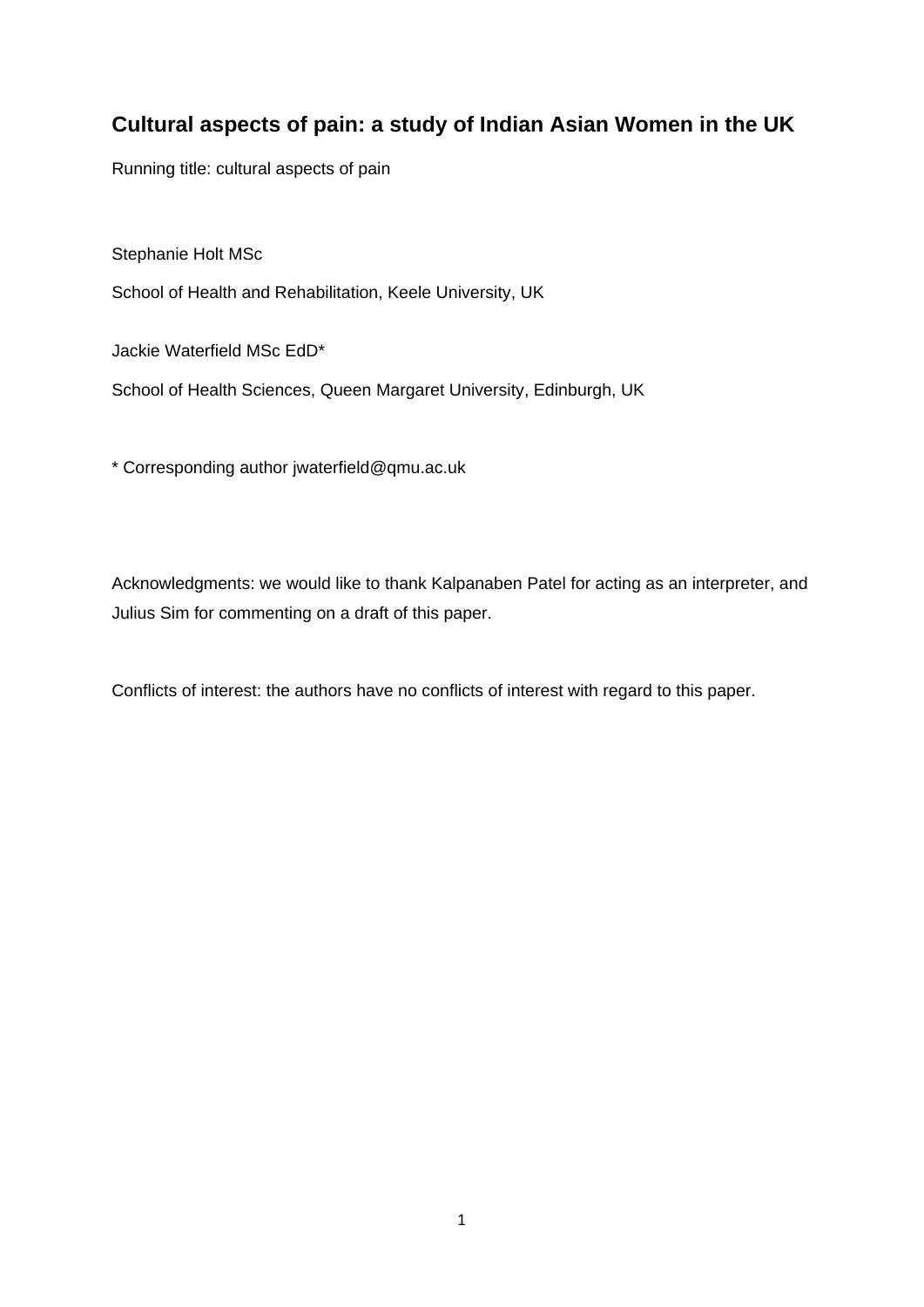# **Cultural aspects of pain: a study of Indian Asian Women in the UK**

Running title: cultural aspects of pain

Stephanie Holt MSc

School of Health and Rehabilitation, Keele University, UK

Jackie Waterfield MSc EdD\*

School of Health Sciences, Queen Margaret University, Edinburgh, UK

\* Corresponding author jwaterfield@qmu.ac.uk

Acknowledgments: we would like to thank Kalpanaben Patel for acting as an interpreter, and Julius Sim for commenting on a draft of this paper.

Conflicts of interest: the authors have no conflicts of interest with regard to this paper.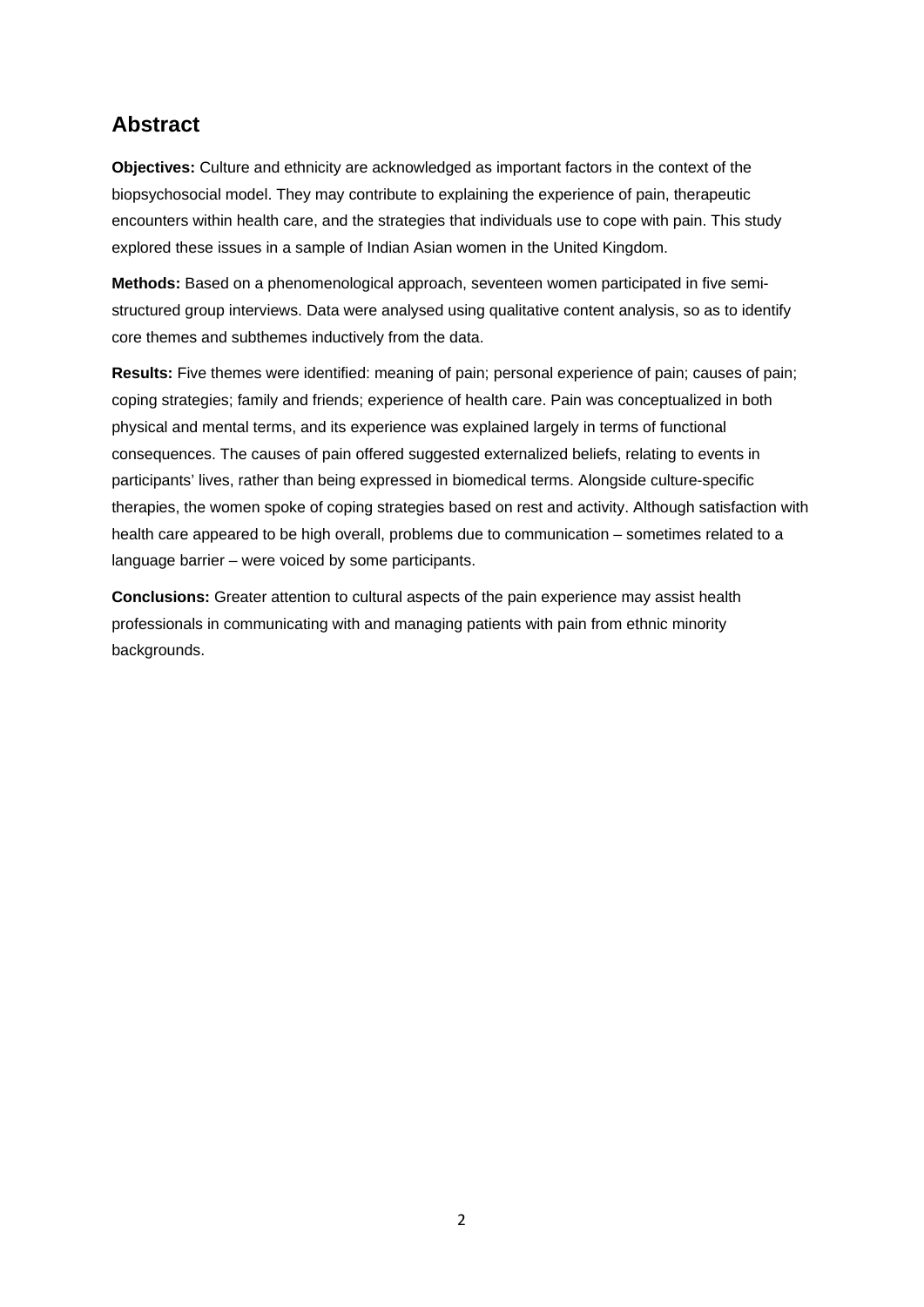# **Abstract**

**Objectives:** Culture and ethnicity are acknowledged as important factors in the context of the biopsychosocial model. They may contribute to explaining the experience of pain, therapeutic encounters within health care, and the strategies that individuals use to cope with pain. This study explored these issues in a sample of Indian Asian women in the United Kingdom.

**Methods:** Based on a phenomenological approach, seventeen women participated in five semistructured group interviews. Data were analysed using qualitative content analysis, so as to identify core themes and subthemes inductively from the data.

**Results:** Five themes were identified: meaning of pain; personal experience of pain; causes of pain; coping strategies; family and friends; experience of health care. Pain was conceptualized in both physical and mental terms, and its experience was explained largely in terms of functional consequences. The causes of pain offered suggested externalized beliefs, relating to events in participants' lives, rather than being expressed in biomedical terms. Alongside culture-specific therapies, the women spoke of coping strategies based on rest and activity. Although satisfaction with health care appeared to be high overall, problems due to communication – sometimes related to a language barrier – were voiced by some participants.

**Conclusions:** Greater attention to cultural aspects of the pain experience may assist health professionals in communicating with and managing patients with pain from ethnic minority backgrounds.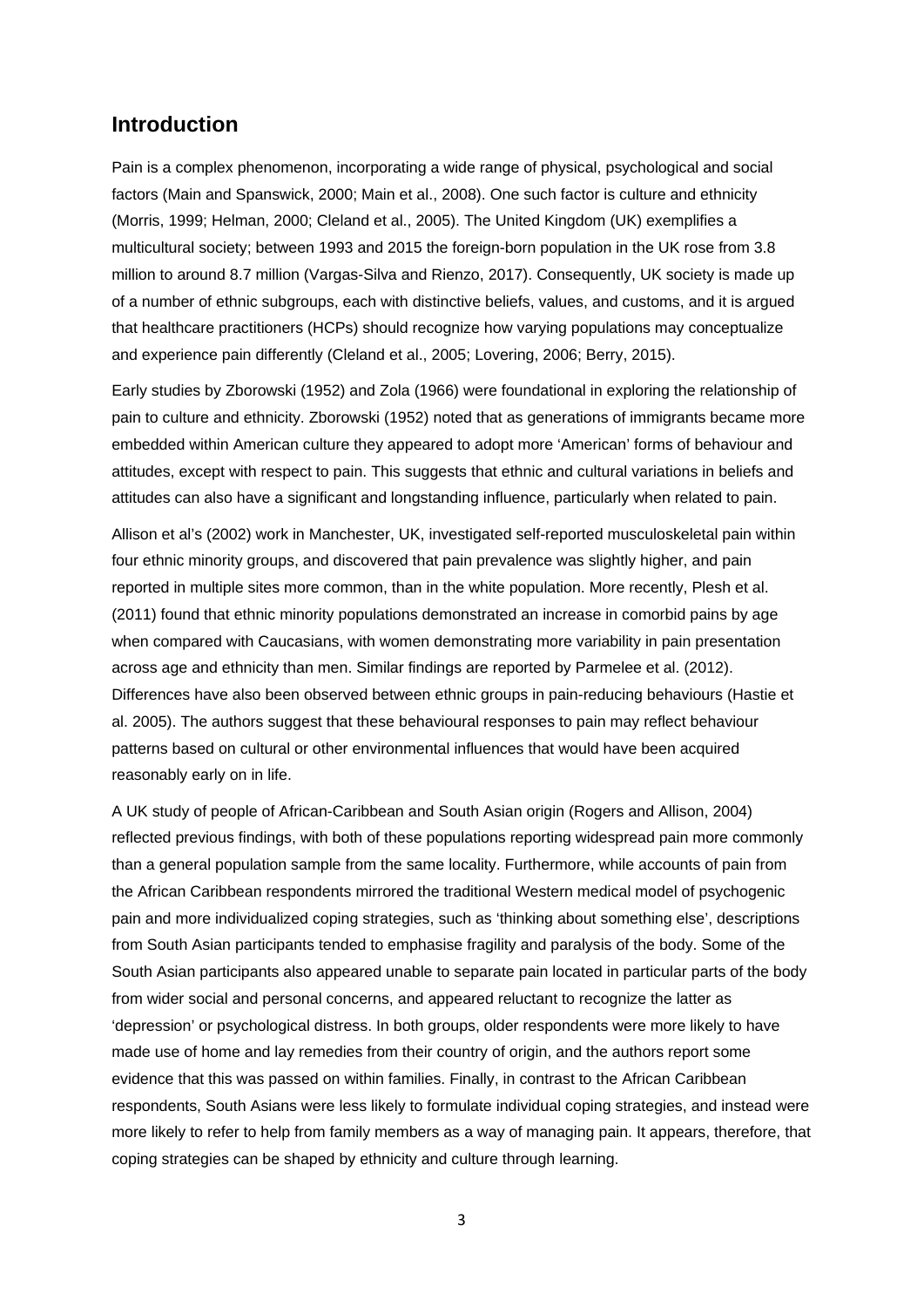### **Introduction**

Pain is a complex phenomenon, incorporating a wide range of physical, psychological and social factors (Main and Spanswick, 2000; Main et al., 2008). One such factor is culture and ethnicity (Morris, 1999; Helman, 2000; Cleland et al., 2005). The United Kingdom (UK) exemplifies a multicultural society; between 1993 and 2015 the foreign-born population in the UK rose from 3.8 million to around 8.7 million (Vargas-Silva and Rienzo, 2017). Consequently, UK society is made up of a number of ethnic subgroups, each with distinctive beliefs, values, and customs, and it is argued that healthcare practitioners (HCPs) should recognize how varying populations may conceptualize and experience pain differently (Cleland et al., 2005; Lovering, 2006; Berry, 2015).

Early studies by Zborowski (1952) and Zola (1966) were foundational in exploring the relationship of pain to culture and ethnicity. Zborowski (1952) noted that as generations of immigrants became more embedded within American culture they appeared to adopt more 'American' forms of behaviour and attitudes, except with respect to pain. This suggests that ethnic and cultural variations in beliefs and attitudes can also have a significant and longstanding influence, particularly when related to pain.

Allison et al's (2002) work in Manchester, UK, investigated self-reported musculoskeletal pain within four ethnic minority groups, and discovered that pain prevalence was slightly higher, and pain reported in multiple sites more common, than in the white population. More recently, Plesh et al. (2011) found that ethnic minority populations demonstrated an increase in comorbid pains by age when compared with Caucasians, with women demonstrating more variability in pain presentation across age and ethnicity than men. Similar findings are reported by Parmelee et al. (2012). Differences have also been observed between ethnic groups in pain-reducing behaviours (Hastie et al. 2005). The authors suggest that these behavioural responses to pain may reflect behaviour patterns based on cultural or other environmental influences that would have been acquired reasonably early on in life.

A UK study of people of African-Caribbean and South Asian origin (Rogers and Allison, 2004) reflected previous findings, with both of these populations reporting widespread pain more commonly than a general population sample from the same locality. Furthermore, while accounts of pain from the African Caribbean respondents mirrored the traditional Western medical model of psychogenic pain and more individualized coping strategies, such as 'thinking about something else', descriptions from South Asian participants tended to emphasise fragility and paralysis of the body. Some of the South Asian participants also appeared unable to separate pain located in particular parts of the body from wider social and personal concerns, and appeared reluctant to recognize the latter as 'depression' or psychological distress. In both groups, older respondents were more likely to have made use of home and lay remedies from their country of origin, and the authors report some evidence that this was passed on within families. Finally, in contrast to the African Caribbean respondents, South Asians were less likely to formulate individual coping strategies, and instead were more likely to refer to help from family members as a way of managing pain. It appears, therefore, that coping strategies can be shaped by ethnicity and culture through learning.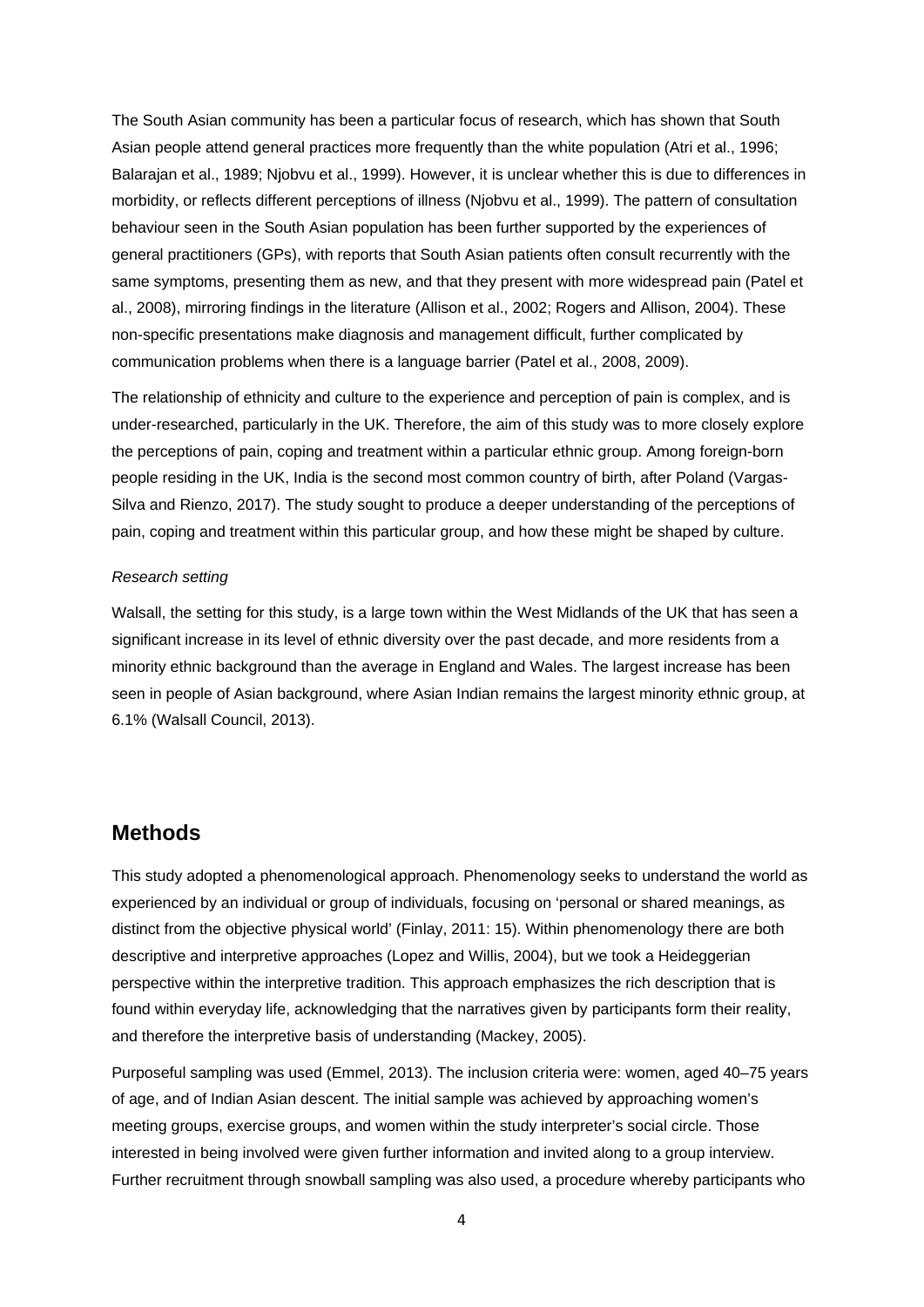The South Asian community has been a particular focus of research, which has shown that South Asian people attend general practices more frequently than the white population (Atri et al., 1996; Balarajan et al., 1989; Njobvu et al., 1999). However, it is unclear whether this is due to differences in morbidity, or reflects different perceptions of illness (Njobvu et al., 1999). The pattern of consultation behaviour seen in the South Asian population has been further supported by the experiences of general practitioners (GPs), with reports that South Asian patients often consult recurrently with the same symptoms, presenting them as new, and that they present with more widespread pain (Patel et al., 2008), mirroring findings in the literature (Allison et al., 2002; Rogers and Allison, 2004). These non-specific presentations make diagnosis and management difficult, further complicated by communication problems when there is a language barrier (Patel et al., 2008, 2009).

The relationship of ethnicity and culture to the experience and perception of pain is complex, and is under-researched, particularly in the UK. Therefore, the aim of this study was to more closely explore the perceptions of pain, coping and treatment within a particular ethnic group. Among foreign-born people residing in the UK, India is the second most common country of birth, after Poland (Vargas-Silva and Rienzo, 2017). The study sought to produce a deeper understanding of the perceptions of pain, coping and treatment within this particular group, and how these might be shaped by culture.

#### *Research setting*

Walsall, the setting for this study, is a large town within the West Midlands of the UK that has seen a significant increase in its level of ethnic diversity over the past decade, and more residents from a minority ethnic background than the average in England and Wales. The largest increase has been seen in people of Asian background, where Asian Indian remains the largest minority ethnic group, at 6.1% (Walsall Council, 2013).

### **Methods**

This study adopted a phenomenological approach. Phenomenology seeks to understand the world as experienced by an individual or group of individuals, focusing on 'personal or shared meanings, as distinct from the objective physical world' (Finlay, 2011: 15). Within phenomenology there are both descriptive and interpretive approaches (Lopez and Willis, 2004), but we took a Heideggerian perspective within the interpretive tradition. This approach emphasizes the rich description that is found within everyday life, acknowledging that the narratives given by participants form their reality, and therefore the interpretive basis of understanding (Mackey, 2005).

Purposeful sampling was used (Emmel, 2013). The inclusion criteria were: women, aged 40–75 years of age, and of Indian Asian descent. The initial sample was achieved by approaching women's meeting groups, exercise groups, and women within the study interpreter's social circle. Those interested in being involved were given further information and invited along to a group interview. Further recruitment through snowball sampling was also used, a procedure whereby participants who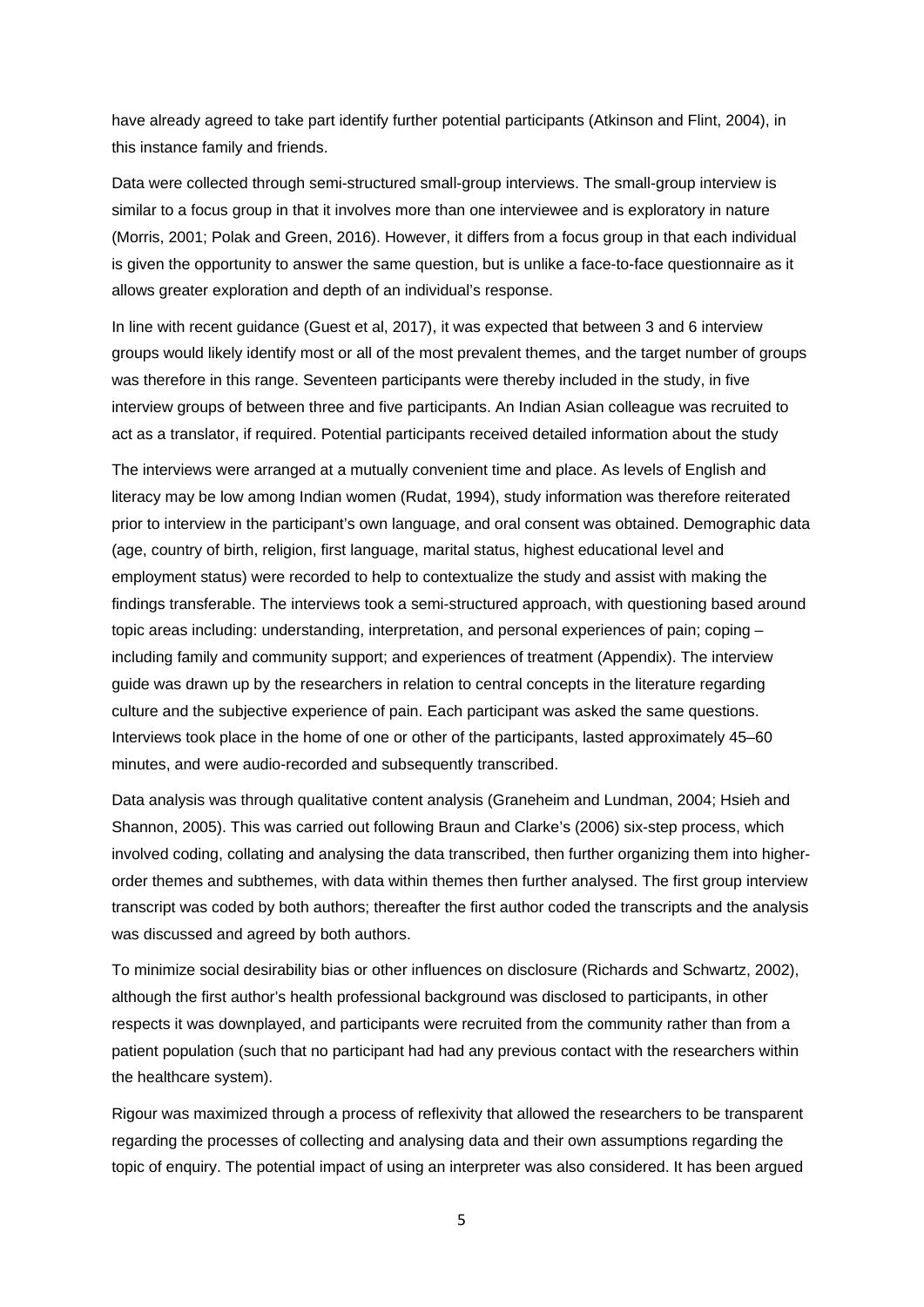have already agreed to take part identify further potential participants (Atkinson and Flint, 2004), in this instance family and friends.

Data were collected through semi-structured small-group interviews. The small-group interview is similar to a focus group in that it involves more than one interviewee and is exploratory in nature (Morris, 2001; Polak and Green, 2016). However, it differs from a focus group in that each individual is given the opportunity to answer the same question, but is unlike a face-to-face questionnaire as it allows greater exploration and depth of an individual's response.

In line with recent guidance (Guest et al, 2017), it was expected that between 3 and 6 interview groups would likely identify most or all of the most prevalent themes, and the target number of groups was therefore in this range. Seventeen participants were thereby included in the study, in five interview groups of between three and five participants. An Indian Asian colleague was recruited to act as a translator, if required. Potential participants received detailed information about the study

The interviews were arranged at a mutually convenient time and place. As levels of English and literacy may be low among Indian women (Rudat, 1994), study information was therefore reiterated prior to interview in the participant's own language, and oral consent was obtained. Demographic data (age, country of birth, religion, first language, marital status, highest educational level and employment status) were recorded to help to contextualize the study and assist with making the findings transferable. The interviews took a semi-structured approach, with questioning based around topic areas including: understanding, interpretation, and personal experiences of pain; coping – including family and community support; and experiences of treatment (Appendix). The interview guide was drawn up by the researchers in relation to central concepts in the literature regarding culture and the subjective experience of pain. Each participant was asked the same questions. Interviews took place in the home of one or other of the participants, lasted approximately 45–60 minutes, and were audio-recorded and subsequently transcribed.

Data analysis was through qualitative content analysis (Graneheim and Lundman, 2004; Hsieh and Shannon, 2005). This was carried out following Braun and Clarke's (2006) six-step process, which involved coding, collating and analysing the data transcribed, then further organizing them into higherorder themes and subthemes, with data within themes then further analysed. The first group interview transcript was coded by both authors; thereafter the first author coded the transcripts and the analysis was discussed and agreed by both authors.

To minimize social desirability bias or other influences on disclosure (Richards and Schwartz, 2002), although the first author's health professional background was disclosed to participants, in other respects it was downplayed, and participants were recruited from the community rather than from a patient population (such that no participant had had any previous contact with the researchers within the healthcare system).

Rigour was maximized through a process of reflexivity that allowed the researchers to be transparent regarding the processes of collecting and analysing data and their own assumptions regarding the topic of enquiry. The potential impact of using an interpreter was also considered. It has been argued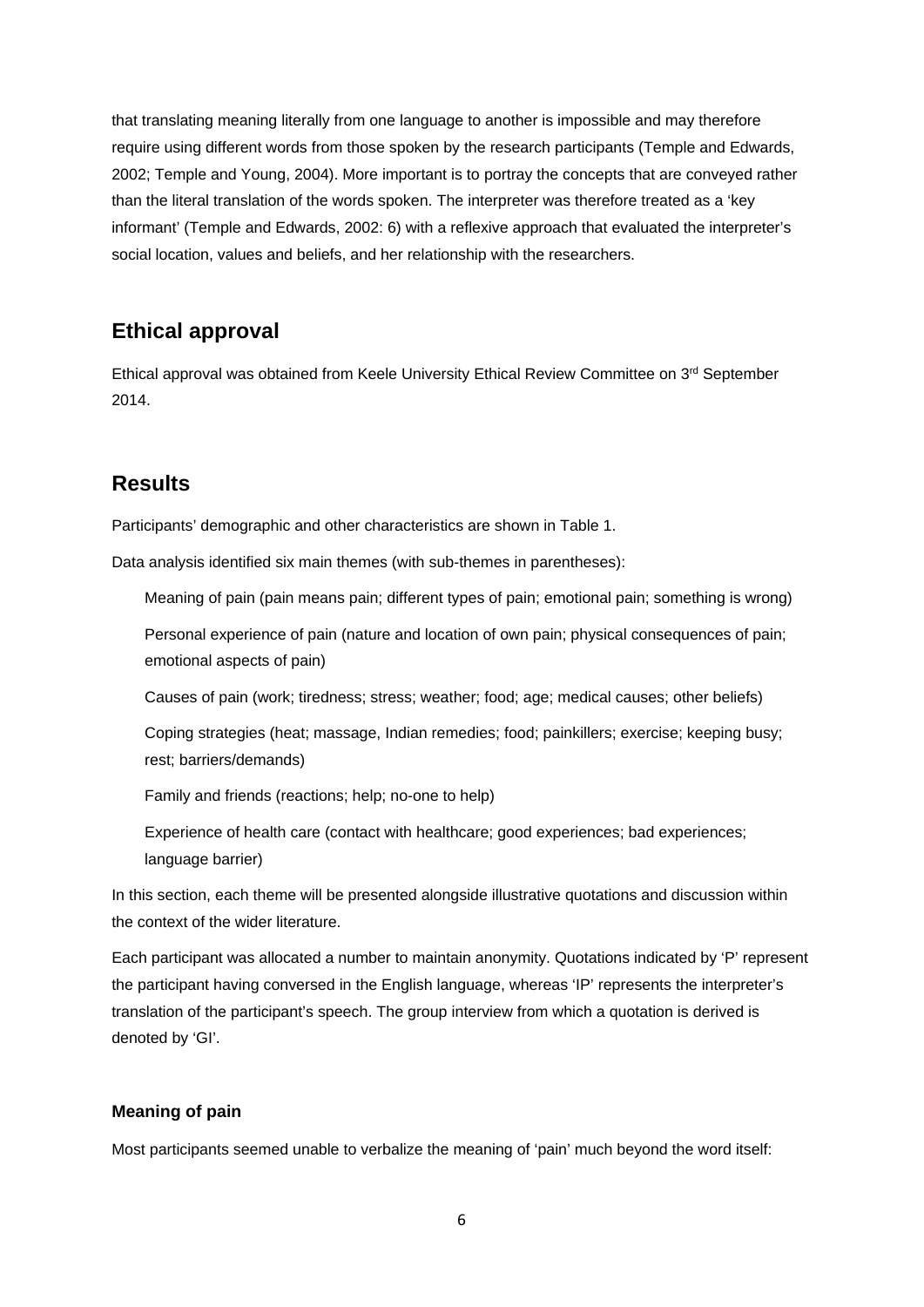that translating meaning literally from one language to another is impossible and may therefore require using different words from those spoken by the research participants (Temple and Edwards, 2002; Temple and Young, 2004). More important is to portray the concepts that are conveyed rather than the literal translation of the words spoken. The interpreter was therefore treated as a 'key informant' (Temple and Edwards, 2002: 6) with a reflexive approach that evaluated the interpreter's social location, values and beliefs, and her relationship with the researchers.

# **Ethical approval**

Ethical approval was obtained from Keele University Ethical Review Committee on 3rd September 2014.

# **Results**

Participants' demographic and other characteristics are shown in Table 1.

Data analysis identified six main themes (with sub-themes in parentheses):

Meaning of pain (pain means pain; different types of pain; emotional pain; something is wrong)

Personal experience of pain (nature and location of own pain; physical consequences of pain; emotional aspects of pain)

Causes of pain (work; tiredness; stress; weather; food; age; medical causes; other beliefs)

Coping strategies (heat; massage, Indian remedies; food; painkillers; exercise; keeping busy; rest; barriers/demands)

Family and friends (reactions; help; no-one to help)

Experience of health care (contact with healthcare; good experiences; bad experiences; language barrier)

In this section, each theme will be presented alongside illustrative quotations and discussion within the context of the wider literature.

Each participant was allocated a number to maintain anonymity. Quotations indicated by 'P' represent the participant having conversed in the English language, whereas 'IP' represents the interpreter's translation of the participant's speech. The group interview from which a quotation is derived is denoted by 'GI'.

### **Meaning of pain**

Most participants seemed unable to verbalize the meaning of 'pain' much beyond the word itself: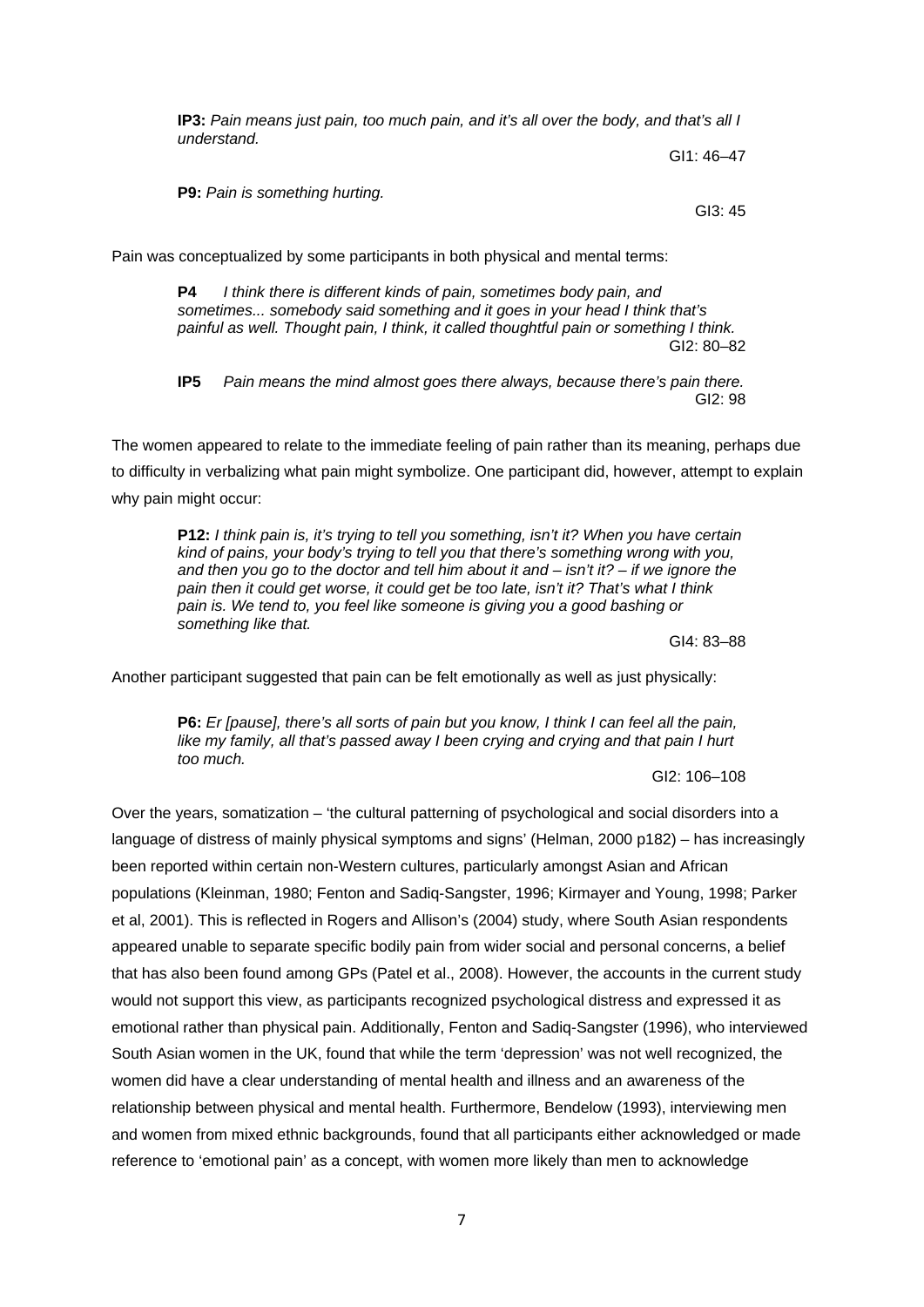**IP3:** *Pain means just pain, too much pain, and it's all over the body, and that's all I understand.* 

GI1: 46–47

**P9:** *Pain is something hurting.* 

GI3: 45

Pain was conceptualized by some participants in both physical and mental terms:

**P4** *I think there is different kinds of pain, sometimes body pain, and sometimes... somebody said something and it goes in your head I think that's painful as well. Thought pain, I think, it called thoughtful pain or something I think.*  GI2: 80–82

**IP5** *Pain means the mind almost goes there always, because there's pain there.*  GI2: 98

The women appeared to relate to the immediate feeling of pain rather than its meaning, perhaps due to difficulty in verbalizing what pain might symbolize. One participant did, however, attempt to explain why pain might occur:

**P12:** *I think pain is, it's trying to tell you something, isn't it? When you have certain kind of pains, your body's trying to tell you that there's something wrong with you, and then you go to the doctor and tell him about it and – isn't it? – if we ignore the pain then it could get worse, it could get be too late, isn't it? That's what I think pain is. We tend to, you feel like someone is giving you a good bashing or something like that.* 

GI4: 83–88

Another participant suggested that pain can be felt emotionally as well as just physically:

**P6:** *Er [pause], there's all sorts of pain but you know, I think I can feel all the pain, like my family, all that's passed away I been crying and crying and that pain I hurt too much.* 

GI2: 106–108

Over the years, somatization – 'the cultural patterning of psychological and social disorders into a language of distress of mainly physical symptoms and signs' (Helman, 2000 p182) – has increasingly been reported within certain non-Western cultures, particularly amongst Asian and African populations (Kleinman, 1980; Fenton and Sadiq-Sangster, 1996; Kirmayer and Young, 1998; Parker et al, 2001). This is reflected in Rogers and Allison's (2004) study, where South Asian respondents appeared unable to separate specific bodily pain from wider social and personal concerns, a belief that has also been found among GPs (Patel et al., 2008). However, the accounts in the current study would not support this view, as participants recognized psychological distress and expressed it as emotional rather than physical pain. Additionally, Fenton and Sadiq-Sangster (1996), who interviewed South Asian women in the UK, found that while the term 'depression' was not well recognized, the women did have a clear understanding of mental health and illness and an awareness of the relationship between physical and mental health. Furthermore, Bendelow (1993), interviewing men and women from mixed ethnic backgrounds, found that all participants either acknowledged or made reference to 'emotional pain' as a concept, with women more likely than men to acknowledge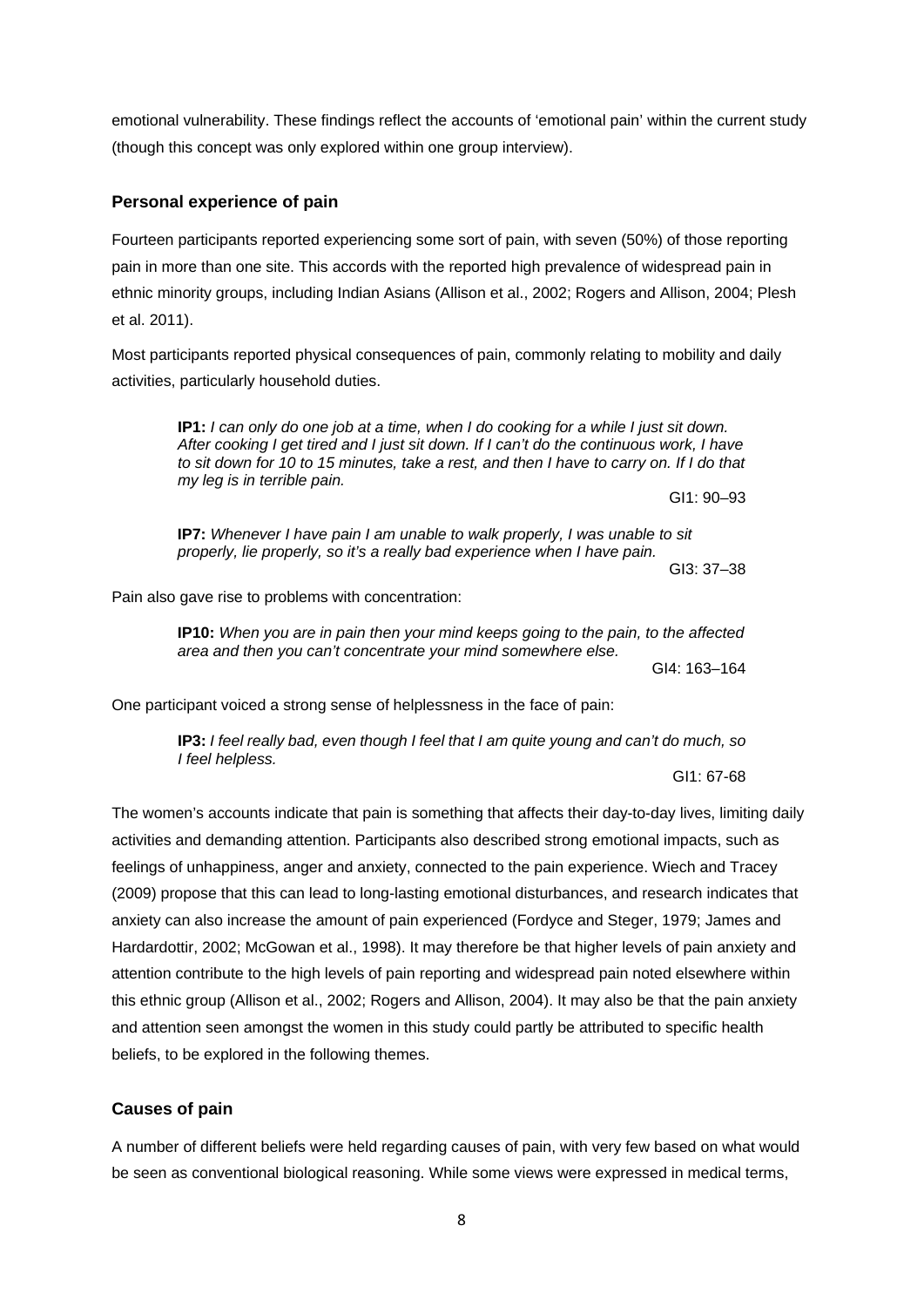emotional vulnerability. These findings reflect the accounts of 'emotional pain' within the current study (though this concept was only explored within one group interview).

#### **Personal experience of pain**

Fourteen participants reported experiencing some sort of pain, with seven (50%) of those reporting pain in more than one site. This accords with the reported high prevalence of widespread pain in ethnic minority groups, including Indian Asians (Allison et al., 2002; Rogers and Allison, 2004; Plesh et al. 2011).

Most participants reported physical consequences of pain, commonly relating to mobility and daily activities, particularly household duties.

**IP1:** *I can only do one job at a time, when I do cooking for a while I just sit down. After cooking I get tired and I just sit down. If I can't do the continuous work, I have to sit down for 10 to 15 minutes, take a rest, and then I have to carry on. If I do that my leg is in terrible pain.* 

GI1: 90–93

**IP7:** *Whenever I have pain I am unable to walk properly, I was unable to sit properly, lie properly, so it's a really bad experience when I have pain.*

GI3: 37–38

Pain also gave rise to problems with concentration:

**IP10:** *When you are in pain then your mind keeps going to the pain, to the affected area and then you can't concentrate your mind somewhere else.* 

GI4: 163–164

One participant voiced a strong sense of helplessness in the face of pain:

**IP3:** *I feel really bad, even though I feel that I am quite young and can't do much, so I feel helpless.* 

GI1: 67-68

The women's accounts indicate that pain is something that affects their day-to-day lives, limiting daily activities and demanding attention. Participants also described strong emotional impacts, such as feelings of unhappiness, anger and anxiety, connected to the pain experience. Wiech and Tracey (2009) propose that this can lead to long-lasting emotional disturbances, and research indicates that anxiety can also increase the amount of pain experienced (Fordyce and Steger, 1979; James and Hardardottir, 2002; McGowan et al., 1998). It may therefore be that higher levels of pain anxiety and attention contribute to the high levels of pain reporting and widespread pain noted elsewhere within this ethnic group (Allison et al., 2002; Rogers and Allison, 2004). It may also be that the pain anxiety and attention seen amongst the women in this study could partly be attributed to specific health beliefs, to be explored in the following themes.

#### **Causes of pain**

A number of different beliefs were held regarding causes of pain, with very few based on what would be seen as conventional biological reasoning. While some views were expressed in medical terms,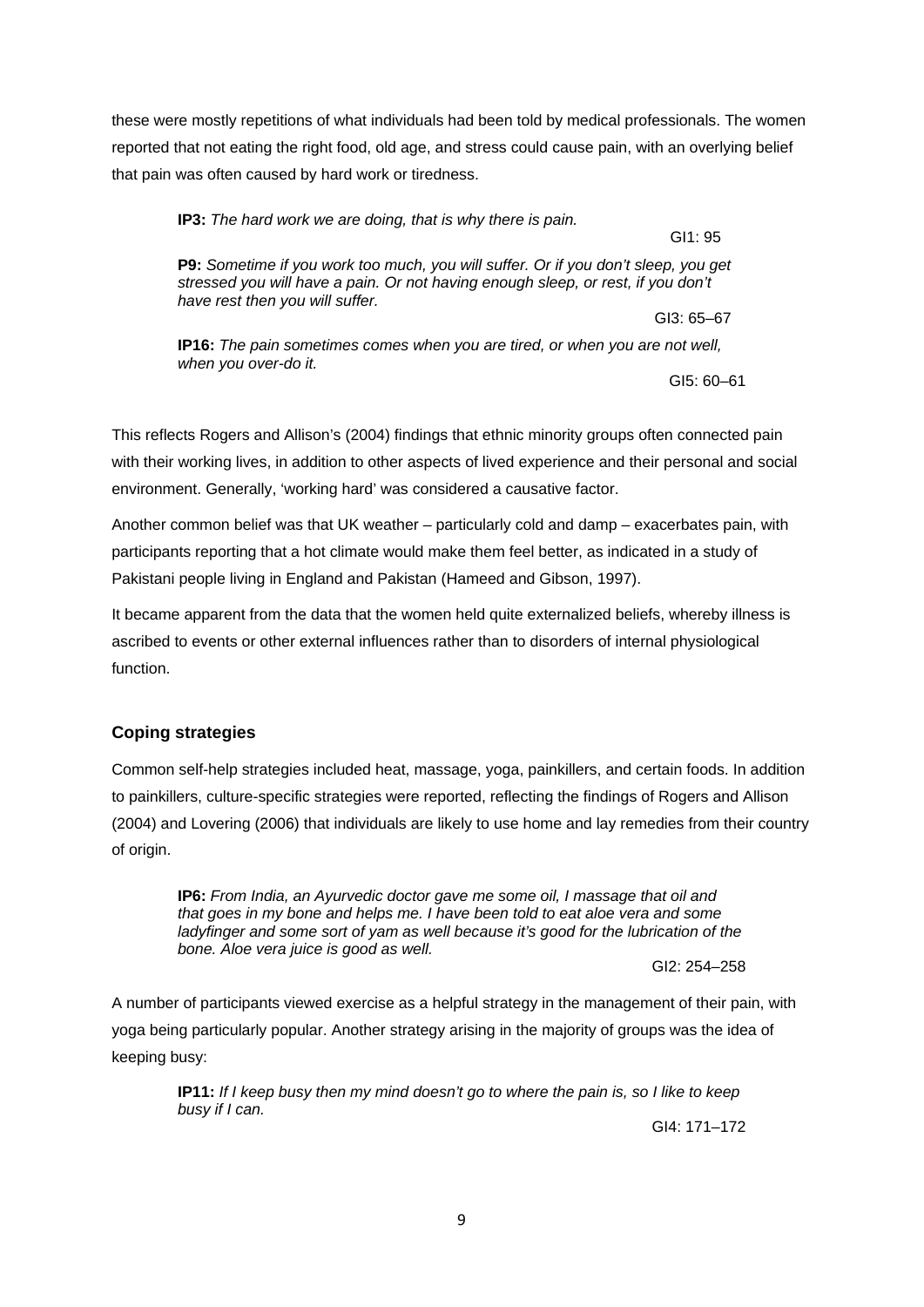these were mostly repetitions of what individuals had been told by medical professionals. The women reported that not eating the right food, old age, and stress could cause pain, with an overlying belief that pain was often caused by hard work or tiredness.

**IP3:** *The hard work we are doing, that is why there is pain.*

GI1: 95

**P9:** *Sometime if you work too much, you will suffer. Or if you don't sleep, you get stressed you will have a pain. Or not having enough sleep, or rest, if you don't have rest then you will suffer.* 

GI3: 65–67

**IP16:** *The pain sometimes comes when you are tired, or when you are not well, when you over-do it.*

GI5: 60–61

This reflects Rogers and Allison's (2004) findings that ethnic minority groups often connected pain with their working lives, in addition to other aspects of lived experience and their personal and social environment. Generally, 'working hard' was considered a causative factor.

Another common belief was that UK weather – particularly cold and damp – exacerbates pain, with participants reporting that a hot climate would make them feel better, as indicated in a study of Pakistani people living in England and Pakistan (Hameed and Gibson, 1997).

It became apparent from the data that the women held quite externalized beliefs, whereby illness is ascribed to events or other external influences rather than to disorders of internal physiological function.

## **Coping strategies**

Common self-help strategies included heat, massage, yoga, painkillers, and certain foods. In addition to painkillers, culture-specific strategies were reported, reflecting the findings of Rogers and Allison (2004) and Lovering (2006) that individuals are likely to use home and lay remedies from their country of origin.

**IP6:** *From India, an Ayurvedic doctor gave me some oil, I massage that oil and that goes in my bone and helps me. I have been told to eat aloe vera and some* ladyfinger and some sort of yam as well because it's good for the lubrication of the *bone. Aloe vera juice is good as well.* 

GI2: 254–258

A number of participants viewed exercise as a helpful strategy in the management of their pain, with yoga being particularly popular. Another strategy arising in the majority of groups was the idea of keeping busy:

**IP11:** *If I keep busy then my mind doesn't go to where the pain is, so I like to keep busy if I can.*

GI4: 171–172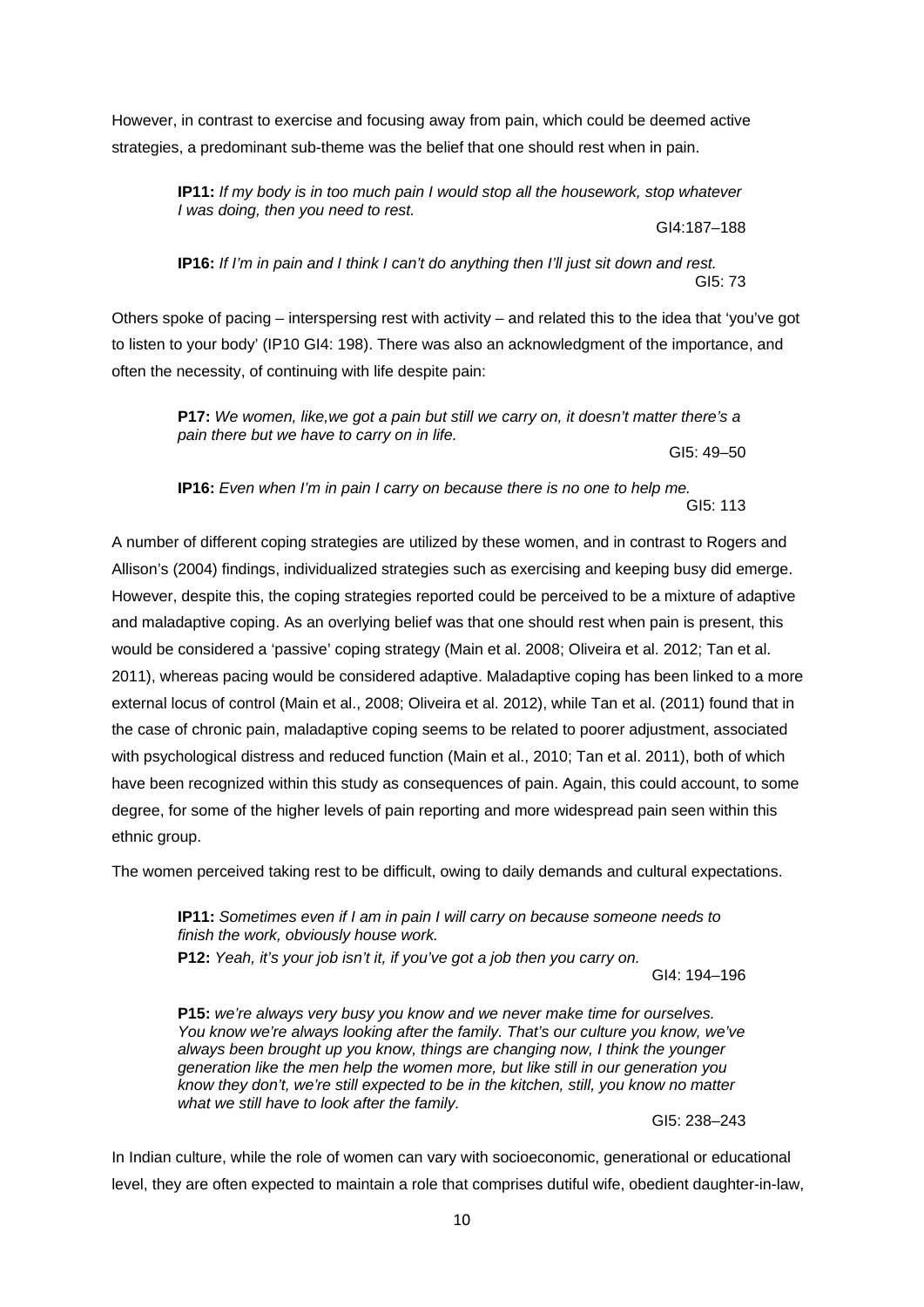However, in contrast to exercise and focusing away from pain, which could be deemed active strategies, a predominant sub-theme was the belief that one should rest when in pain.

> **IP11:** *If my body is in too much pain I would stop all the housework, stop whatever I was doing, then you need to rest.*

GI4:187–188

**IP16:** *If I'm in pain and I think I can't do anything then I'll just sit down and rest.* GI5: 73

Others spoke of pacing – interspersing rest with activity – and related this to the idea that 'you've got to listen to your body' (IP10 GI4: 198). There was also an acknowledgment of the importance, and often the necessity, of continuing with life despite pain:

**P17:** *We women, like,we got a pain but still we carry on, it doesn't matter there's a pain there but we have to carry on in life.*

GI5: 49–50

**IP16:** *Even when I'm in pain I carry on because there is no one to help me.* GI5: 113

A number of different coping strategies are utilized by these women, and in contrast to Rogers and Allison's (2004) findings, individualized strategies such as exercising and keeping busy did emerge. However, despite this, the coping strategies reported could be perceived to be a mixture of adaptive and maladaptive coping. As an overlying belief was that one should rest when pain is present, this would be considered a 'passive' coping strategy (Main et al. 2008; Oliveira et al. 2012; Tan et al. 2011), whereas pacing would be considered adaptive. Maladaptive coping has been linked to a more external locus of control (Main et al., 2008; Oliveira et al. 2012), while Tan et al. (2011) found that in the case of chronic pain, maladaptive coping seems to be related to poorer adjustment, associated with psychological distress and reduced function (Main et al., 2010; Tan et al. 2011), both of which have been recognized within this study as consequences of pain. Again, this could account, to some degree, for some of the higher levels of pain reporting and more widespread pain seen within this ethnic group.

The women perceived taking rest to be difficult, owing to daily demands and cultural expectations.

**IP11:** *Sometimes even if I am in pain I will carry on because someone needs to finish the work, obviously house work.* **P12:** *Yeah, it's your job isn't it, if you've got a job then you carry on.* 

GI4: 194–196

**P15:** *we're always very busy you know and we never make time for ourselves. You know we're always looking after the family. That's our culture you know, we've always been brought up you know, things are changing now, I think the younger generation like the men help the women more, but like still in our generation you know they don't, we're still expected to be in the kitchen, still, you know no matter what we still have to look after the family.* 

GI5: 238–243

In Indian culture, while the role of women can vary with socioeconomic, generational or educational level, they are often expected to maintain a role that comprises dutiful wife, obedient daughter-in-law,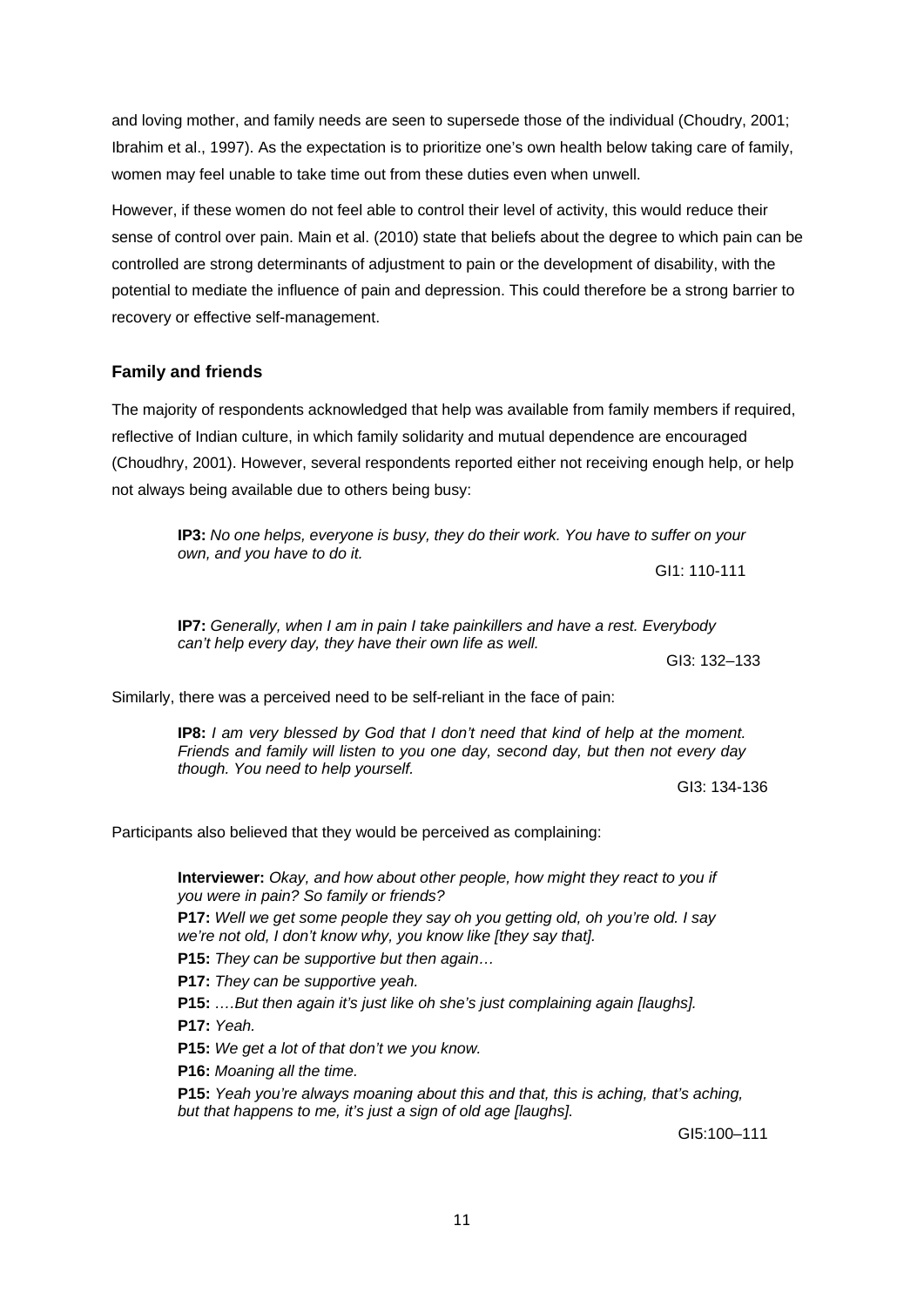and loving mother, and family needs are seen to supersede those of the individual (Choudry, 2001; Ibrahim et al., 1997). As the expectation is to prioritize one's own health below taking care of family, women may feel unable to take time out from these duties even when unwell.

However, if these women do not feel able to control their level of activity, this would reduce their sense of control over pain. Main et al. (2010) state that beliefs about the degree to which pain can be controlled are strong determinants of adjustment to pain or the development of disability, with the potential to mediate the influence of pain and depression. This could therefore be a strong barrier to recovery or effective self-management.

### **Family and friends**

The majority of respondents acknowledged that help was available from family members if required, reflective of Indian culture, in which family solidarity and mutual dependence are encouraged (Choudhry, 2001). However, several respondents reported either not receiving enough help, or help not always being available due to others being busy:

**IP3:** *No one helps, everyone is busy, they do their work. You have to suffer on your own, and you have to do it.* 

GI1: 110-111

**IP7:** *Generally, when I am in pain I take painkillers and have a rest. Everybody can't help every day, they have their own life as well.*

GI3: 132–133

Similarly, there was a perceived need to be self-reliant in the face of pain:

**IP8:** *I am very blessed by God that I don't need that kind of help at the moment. Friends and family will listen to you one day, second day, but then not every day though. You need to help yourself.* 

GI3: 134-136

Participants also believed that they would be perceived as complaining:

**Interviewer:** *Okay, and how about other people, how might they react to you if you were in pain? So family or friends?* 

**P17:** *Well we get some people they say oh you getting old, oh you're old. I say we're not old, I don't know why, you know like [they say that].* 

**P15:** *They can be supportive but then again…* 

**P17:** *They can be supportive yeah.* 

**P15:** *….But then again it's just like oh she's just complaining again [laughs].*  **P17:** *Yeah.* 

**P15:** *We get a lot of that don't we you know.* 

**P16:** *Moaning all the time.* 

**P15:** *Yeah you're always moaning about this and that, this is aching, that's aching, but that happens to me, it's just a sign of old age [laughs].* 

GI5:100–111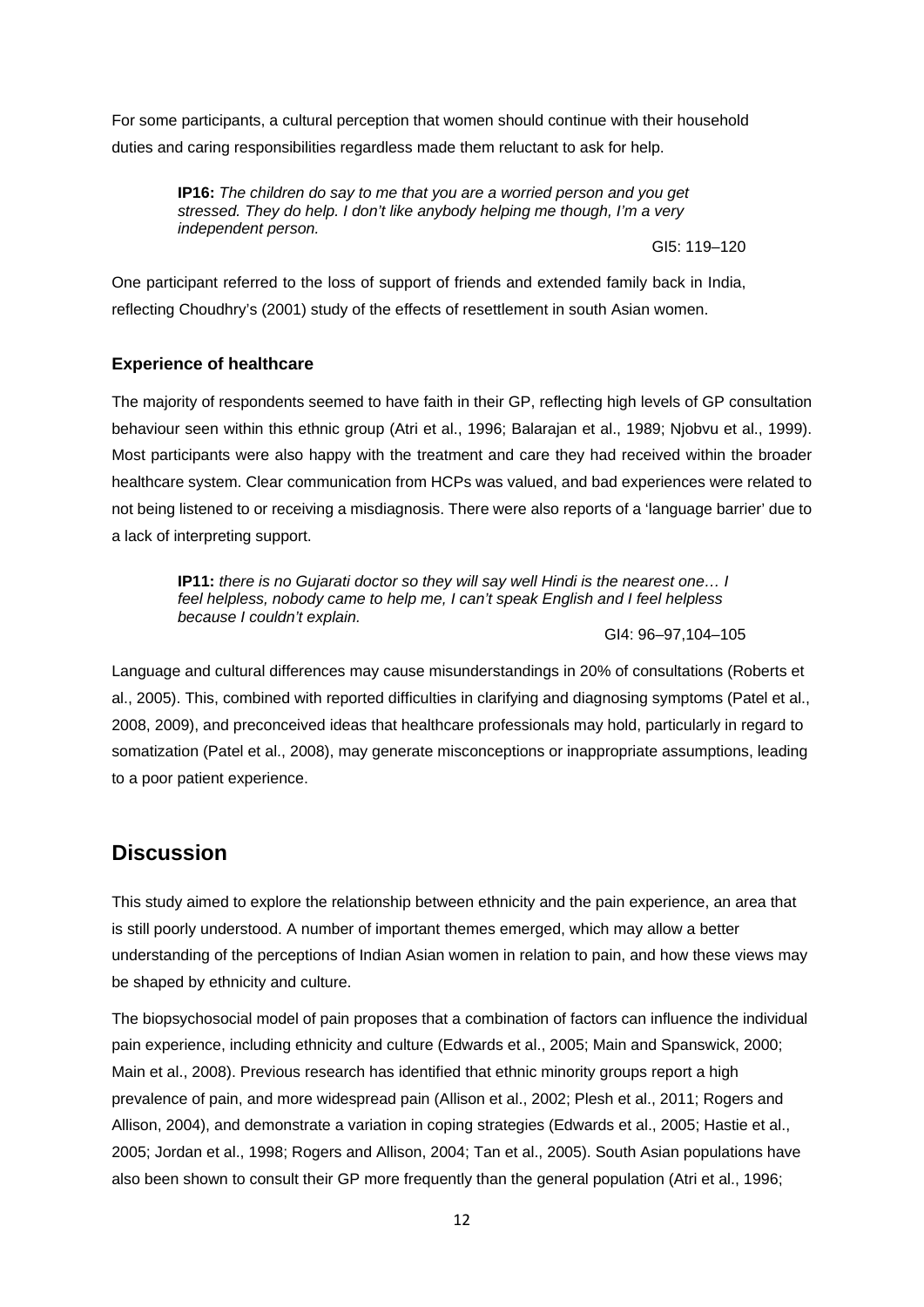For some participants, a cultural perception that women should continue with their household duties and caring responsibilities regardless made them reluctant to ask for help.

> **IP16:** *The children do say to me that you are a worried person and you get stressed. They do help. I don't like anybody helping me though, I'm a very independent person.*

GI5: 119–120

One participant referred to the loss of support of friends and extended family back in India, reflecting Choudhry's (2001) study of the effects of resettlement in south Asian women.

### **Experience of healthcare**

The majority of respondents seemed to have faith in their GP, reflecting high levels of GP consultation behaviour seen within this ethnic group (Atri et al., 1996; Balarajan et al., 1989; Njobvu et al., 1999). Most participants were also happy with the treatment and care they had received within the broader healthcare system. Clear communication from HCPs was valued, and bad experiences were related to not being listened to or receiving a misdiagnosis. There were also reports of a 'language barrier' due to a lack of interpreting support.

**IP11:** *there is no Gujarati doctor so they will say well Hindi is the nearest one… I feel helpless, nobody came to help me, I can't speak English and I feel helpless because I couldn't explain.*

GI4: 96–97,104–105

Language and cultural differences may cause misunderstandings in 20% of consultations (Roberts et al., 2005). This, combined with reported difficulties in clarifying and diagnosing symptoms (Patel et al., 2008, 2009), and preconceived ideas that healthcare professionals may hold, particularly in regard to somatization (Patel et al., 2008), may generate misconceptions or inappropriate assumptions, leading to a poor patient experience.

## **Discussion**

This study aimed to explore the relationship between ethnicity and the pain experience, an area that is still poorly understood. A number of important themes emerged, which may allow a better understanding of the perceptions of Indian Asian women in relation to pain, and how these views may be shaped by ethnicity and culture.

The biopsychosocial model of pain proposes that a combination of factors can influence the individual pain experience, including ethnicity and culture (Edwards et al., 2005; Main and Spanswick, 2000; Main et al., 2008). Previous research has identified that ethnic minority groups report a high prevalence of pain, and more widespread pain (Allison et al., 2002; Plesh et al., 2011; Rogers and Allison, 2004), and demonstrate a variation in coping strategies (Edwards et al., 2005; Hastie et al., 2005; Jordan et al., 1998; Rogers and Allison, 2004; Tan et al., 2005). South Asian populations have also been shown to consult their GP more frequently than the general population (Atri et al., 1996;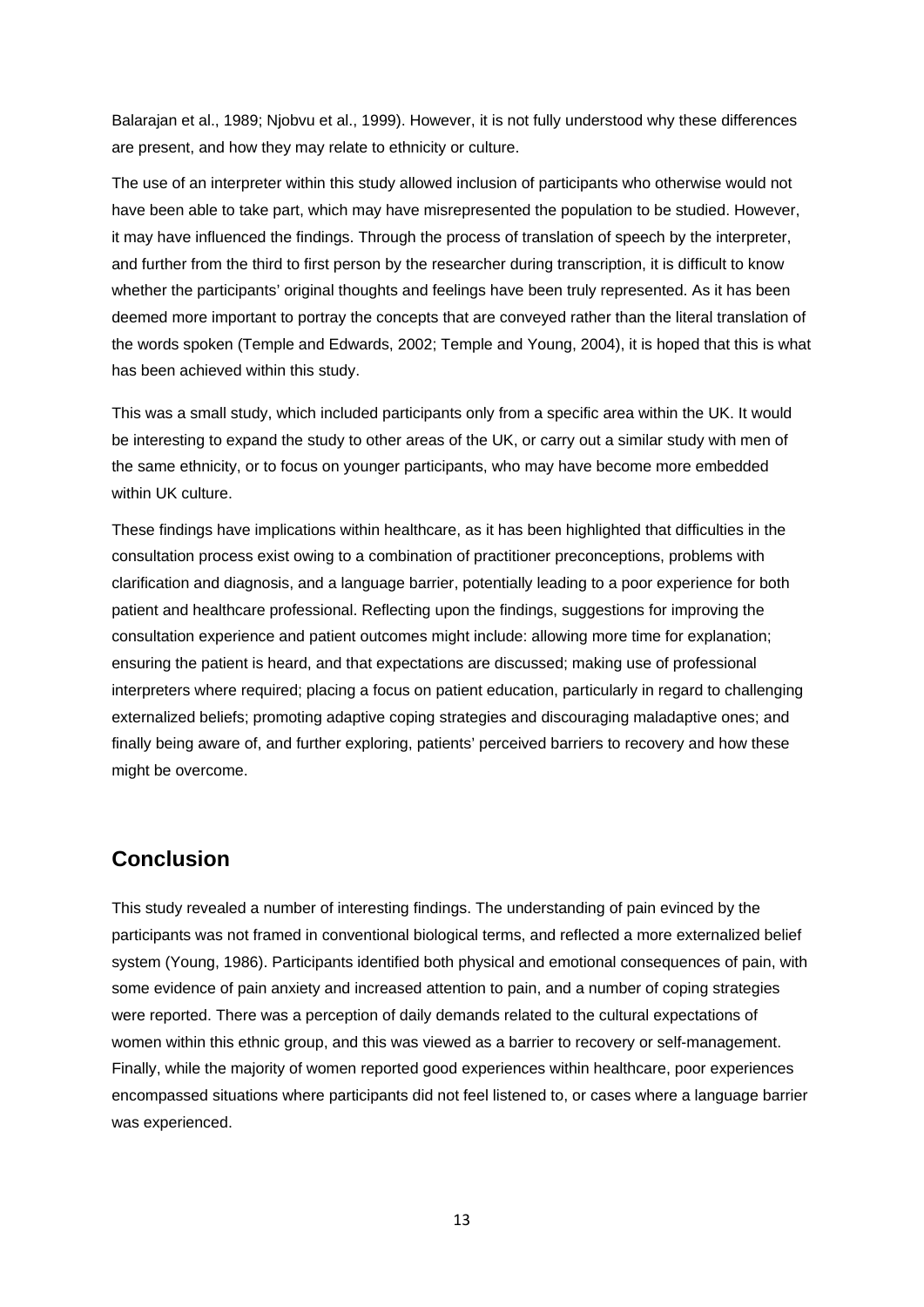Balarajan et al., 1989; Njobvu et al., 1999). However, it is not fully understood why these differences are present, and how they may relate to ethnicity or culture.

The use of an interpreter within this study allowed inclusion of participants who otherwise would not have been able to take part, which may have misrepresented the population to be studied. However, it may have influenced the findings. Through the process of translation of speech by the interpreter, and further from the third to first person by the researcher during transcription, it is difficult to know whether the participants' original thoughts and feelings have been truly represented. As it has been deemed more important to portray the concepts that are conveyed rather than the literal translation of the words spoken (Temple and Edwards, 2002; Temple and Young, 2004), it is hoped that this is what has been achieved within this study.

This was a small study, which included participants only from a specific area within the UK. It would be interesting to expand the study to other areas of the UK, or carry out a similar study with men of the same ethnicity, or to focus on younger participants, who may have become more embedded within UK culture.

These findings have implications within healthcare, as it has been highlighted that difficulties in the consultation process exist owing to a combination of practitioner preconceptions, problems with clarification and diagnosis, and a language barrier, potentially leading to a poor experience for both patient and healthcare professional. Reflecting upon the findings, suggestions for improving the consultation experience and patient outcomes might include: allowing more time for explanation; ensuring the patient is heard, and that expectations are discussed; making use of professional interpreters where required; placing a focus on patient education, particularly in regard to challenging externalized beliefs; promoting adaptive coping strategies and discouraging maladaptive ones; and finally being aware of, and further exploring, patients' perceived barriers to recovery and how these might be overcome.

## **Conclusion**

This study revealed a number of interesting findings. The understanding of pain evinced by the participants was not framed in conventional biological terms, and reflected a more externalized belief system (Young, 1986). Participants identified both physical and emotional consequences of pain, with some evidence of pain anxiety and increased attention to pain, and a number of coping strategies were reported. There was a perception of daily demands related to the cultural expectations of women within this ethnic group, and this was viewed as a barrier to recovery or self-management. Finally, while the majority of women reported good experiences within healthcare, poor experiences encompassed situations where participants did not feel listened to, or cases where a language barrier was experienced.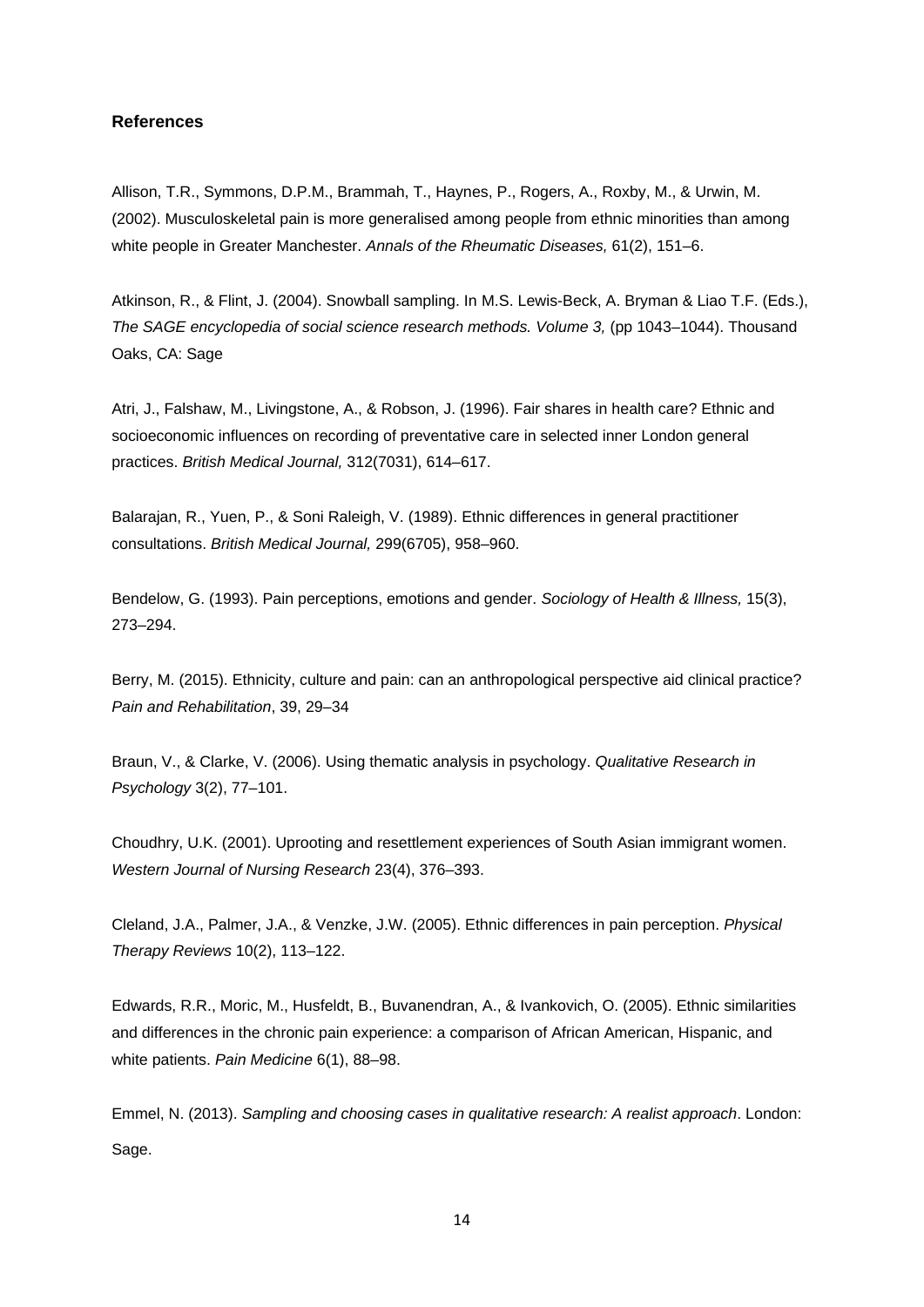#### **References**

Allison, T.R., Symmons, D.P.M., Brammah, T., Haynes, P., Rogers, A., Roxby, M., & Urwin, M. (2002). Musculoskeletal pain is more generalised among people from ethnic minorities than among white people in Greater Manchester. *Annals of the Rheumatic Diseases,* 61(2), 151–6.

Atkinson, R., & Flint, J. (2004). Snowball sampling. In M.S. Lewis-Beck, A. Bryman & Liao T.F. (Eds.), *The SAGE encyclopedia of social science research methods. Volume 3,* (pp 1043–1044). Thousand Oaks, CA: Sage

Atri, J., Falshaw, M., Livingstone, A., & Robson, J. (1996). Fair shares in health care? Ethnic and socioeconomic influences on recording of preventative care in selected inner London general practices. *British Medical Journal,* 312(7031), 614–617.

Balarajan, R., Yuen, P., & Soni Raleigh, V. (1989). Ethnic differences in general practitioner consultations. *British Medical Journal,* 299(6705), 958–960.

Bendelow, G. (1993). Pain perceptions, emotions and gender. *Sociology of Health & Illness,* 15(3), 273–294.

Berry, M. (2015). Ethnicity, culture and pain: can an anthropological perspective aid clinical practice? *Pain and Rehabilitation*, 39, 29–34

Braun, V., & Clarke, V. (2006). Using thematic analysis in psychology. *Qualitative Research in Psychology* 3(2), 77–101.

Choudhry, U.K. (2001). Uprooting and resettlement experiences of South Asian immigrant women. *Western Journal of Nursing Research* 23(4), 376–393.

Cleland, J.A., Palmer, J.A., & Venzke, J.W. (2005). Ethnic differences in pain perception. *Physical Therapy Reviews* 10(2), 113–122.

Edwards, R.R., Moric, M., Husfeldt, B., Buvanendran, A., & Ivankovich, O. (2005). Ethnic similarities and differences in the chronic pain experience: a comparison of African American, Hispanic, and white patients. *Pain Medicine* 6(1), 88–98.

Emmel, N. (2013). *Sampling and choosing cases in qualitative research: A realist approach*. London: Sage.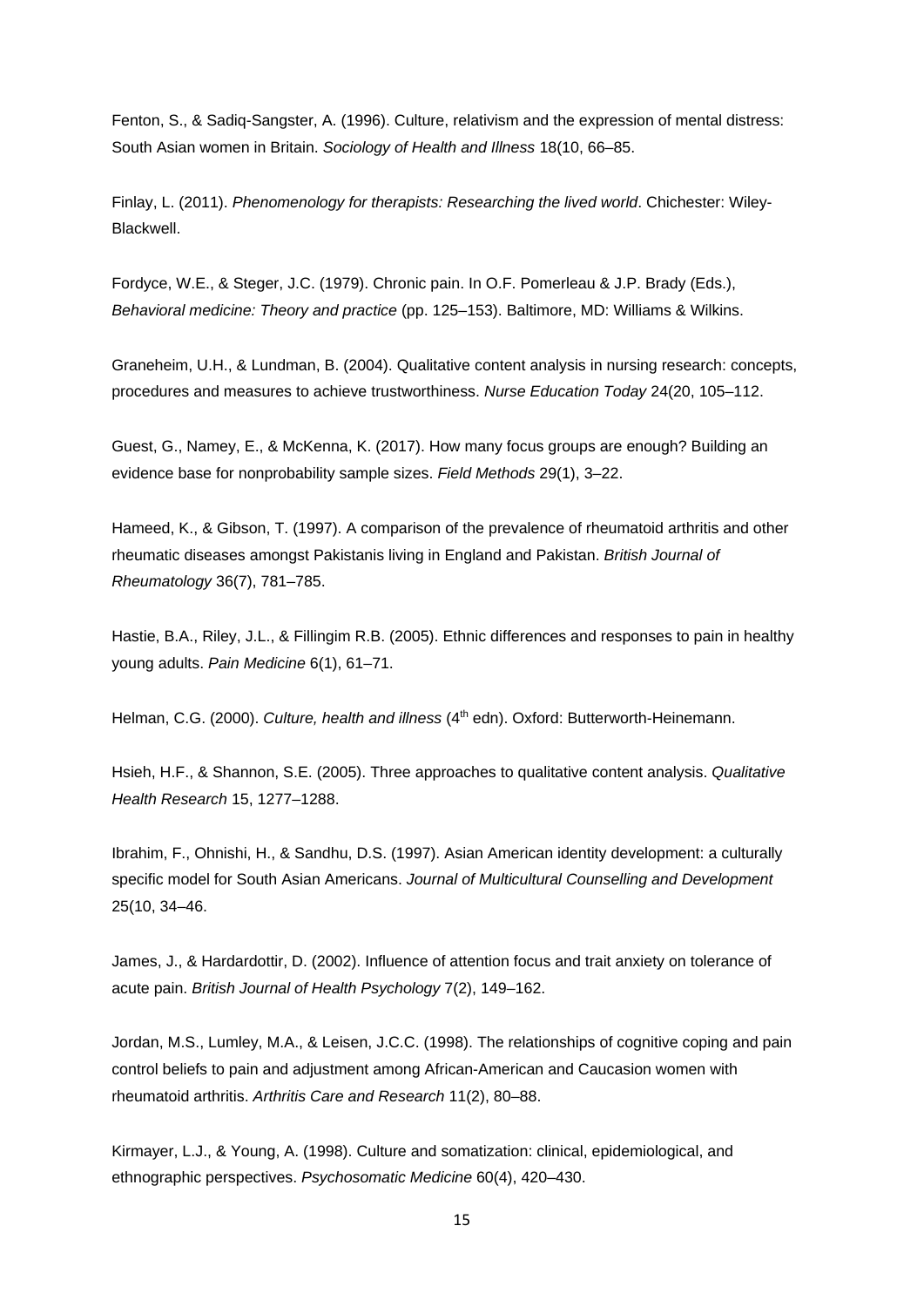Fenton, S., & Sadiq-Sangster, A. (1996). Culture, relativism and the expression of mental distress: South Asian women in Britain. *Sociology of Health and Illness* 18(10, 66–85.

Finlay, L. (2011). *Phenomenology for therapists: Researching the lived world*. Chichester: Wiley-Blackwell.

Fordyce, W.E., & Steger, J.C. (1979). Chronic pain. In O.F. Pomerleau & J.P. Brady (Eds.), *Behavioral medicine: Theory and practice* (pp. 125–153). Baltimore, MD: Williams & Wilkins.

Graneheim, U.H., & Lundman, B. (2004). Qualitative content analysis in nursing research: concepts, procedures and measures to achieve trustworthiness. *Nurse Education Today* 24(20, 105–112.

Guest, G., Namey, E., & McKenna, K. (2017). How many focus groups are enough? Building an evidence base for nonprobability sample sizes. *Field Methods* 29(1), 3–22.

Hameed, K., & Gibson, T. (1997). A comparison of the prevalence of rheumatoid arthritis and other rheumatic diseases amongst Pakistanis living in England and Pakistan. *British Journal of Rheumatology* 36(7), 781–785.

Hastie, B.A., Riley, J.L., & Fillingim R.B. (2005). Ethnic differences and responses to pain in healthy young adults. *Pain Medicine* 6(1), 61–71.

Helman, C.G. (2000). *Culture, health and illness* (4<sup>th</sup> edn). Oxford: Butterworth-Heinemann.

Hsieh, H.F., & Shannon, S.E. (2005). Three approaches to qualitative content analysis. *Qualitative Health Research* 15, 1277–1288.

Ibrahim, F., Ohnishi, H., & Sandhu, D.S. (1997). Asian American identity development: a culturally specific model for South Asian Americans. *Journal of Multicultural Counselling and Development* 25(10, 34–46.

James, J., & Hardardottir, D. (2002). Influence of attention focus and trait anxiety on tolerance of acute pain. *British Journal of Health Psychology* 7(2), 149–162.

Jordan, M.S., Lumley, M.A., & Leisen, J.C.C. (1998). The relationships of cognitive coping and pain control beliefs to pain and adjustment among African-American and Caucasion women with rheumatoid arthritis. *Arthritis Care and Research* 11(2), 80–88.

Kirmayer, L.J., & Young, A. (1998). Culture and somatization: clinical, epidemiological, and ethnographic perspectives. *Psychosomatic Medicine* 60(4), 420–430.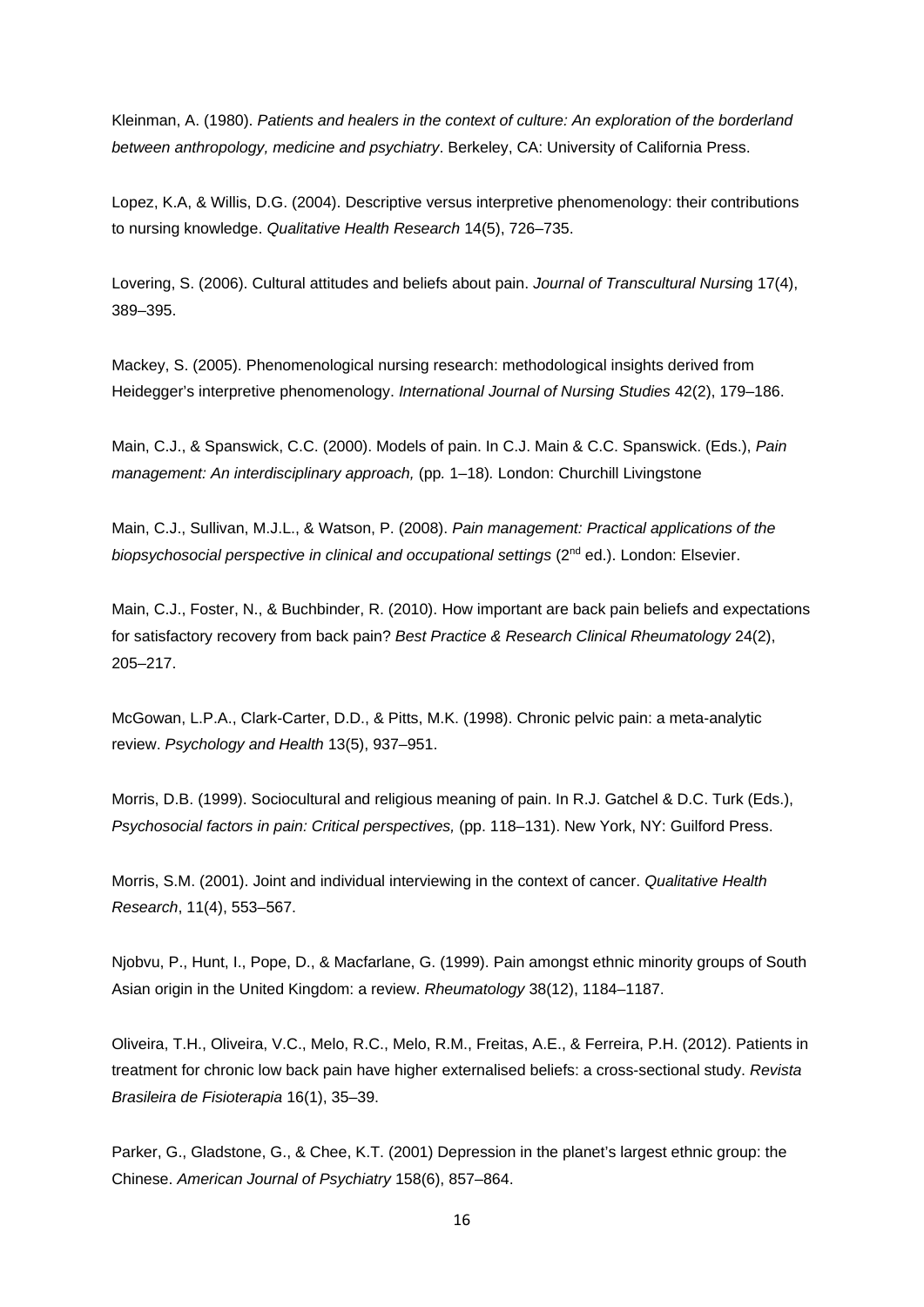Kleinman, A. (1980). *Patients and healers in the context of culture: An exploration of the borderland between anthropology, medicine and psychiatry*. Berkeley, CA: University of California Press.

Lopez, K.A, & Willis, D.G. (2004). Descriptive versus interpretive phenomenology: their contributions to nursing knowledge. *Qualitative Health Research* 14(5), 726–735.

Lovering, S. (2006). Cultural attitudes and beliefs about pain. *Journal of Transcultural Nursin*g 17(4), 389–395.

Mackey, S. (2005). Phenomenological nursing research: methodological insights derived from Heidegger's interpretive phenomenology. *International Journal of Nursing Studies* 42(2), 179–186.

Main, C.J., & Spanswick, C.C. (2000). Models of pain. In C.J. Main & C.C. Spanswick. (Eds.), *Pain management: An interdisciplinary approach,* (pp*.* 1–18)*.* London: Churchill Livingstone

Main, C.J., Sullivan, M.J.L., & Watson, P. (2008). *Pain management: Practical applications of the biopsychosocial perspective in clinical and occupational settings* ( $2<sup>nd</sup>$  ed.). London: Elsevier.

Main, C.J., Foster, N., & Buchbinder, R. (2010). How important are back pain beliefs and expectations for satisfactory recovery from back pain? *Best Practice & Research Clinical Rheumatology* 24(2), 205–217.

McGowan, L.P.A., Clark-Carter, D.D., & Pitts, M.K. (1998). Chronic pelvic pain: a meta-analytic review. *Psychology and Health* 13(5), 937–951.

Morris, D.B. (1999). Sociocultural and religious meaning of pain. In R.J. Gatchel & D.C. Turk (Eds.), *Psychosocial factors in pain: Critical perspectives,* (pp. 118–131). New York, NY: Guilford Press.

Morris, S.M. (2001). Joint and individual interviewing in the context of cancer. *Qualitative Health Research*, 11(4), 553–567.

Njobvu, P., Hunt, I., Pope, D., & Macfarlane, G. (1999). Pain amongst ethnic minority groups of South Asian origin in the United Kingdom: a review. *Rheumatology* 38(12), 1184–1187.

Oliveira, T.H., Oliveira, V.C., Melo, R.C., Melo, R.M., Freitas, A.E., & Ferreira, P.H. (2012). Patients in treatment for chronic low back pain have higher externalised beliefs: a cross-sectional study. *Revista Brasileira de Fisioterapia* 16(1), 35–39.

Parker, G., Gladstone, G., & Chee, K.T. (2001) Depression in the planet's largest ethnic group: the Chinese. *American Journal of Psychiatry* 158(6), 857–864.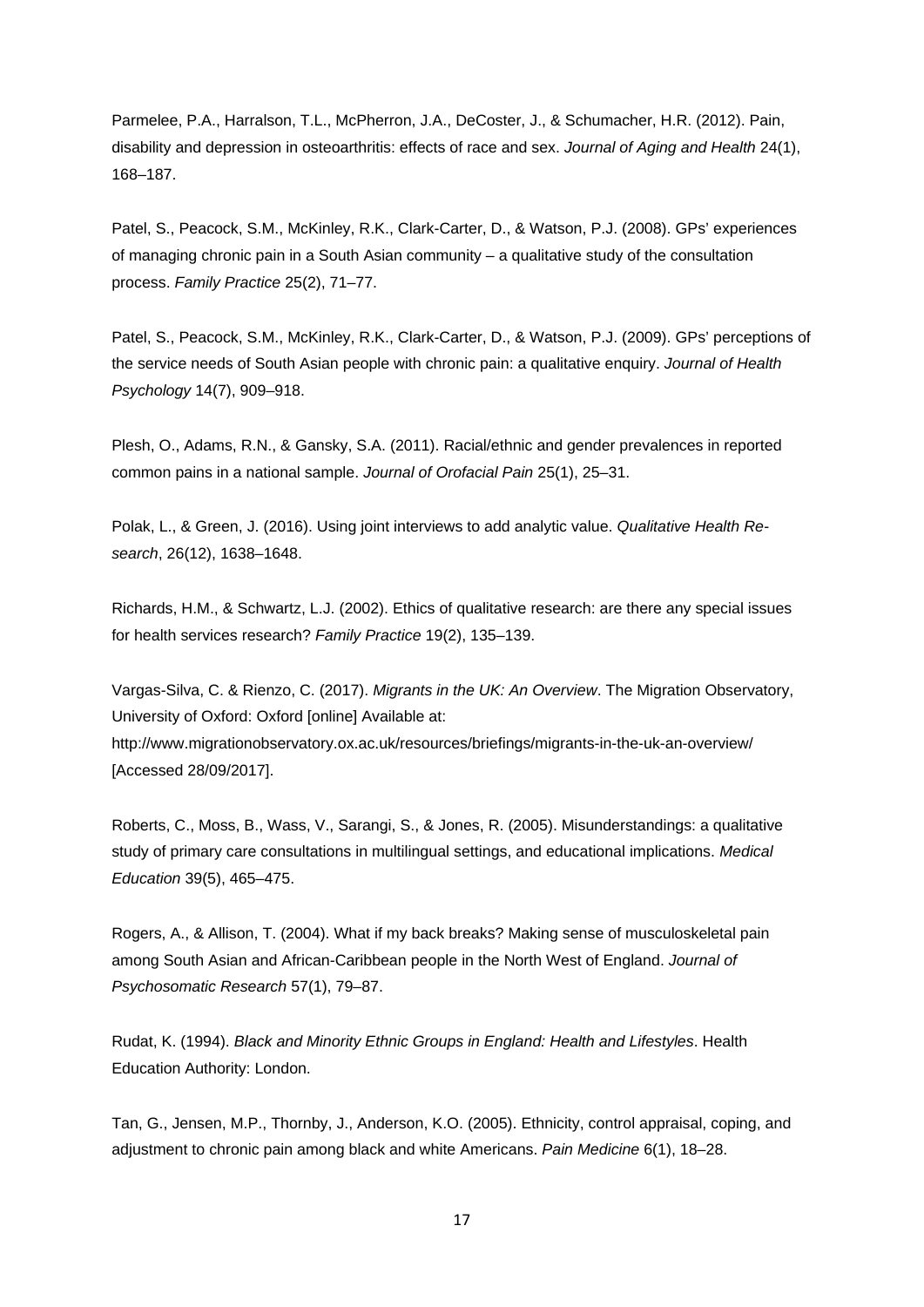Parmelee, P.A., Harralson, T.L., McPherron, J.A., DeCoster, J., & Schumacher, H.R. (2012). Pain, disability and depression in osteoarthritis: effects of race and sex. *Journal of Aging and Health* 24(1), 168–187.

Patel, S., Peacock, S.M., McKinley, R.K., Clark-Carter, D., & Watson, P.J. (2008). GPs' experiences of managing chronic pain in a South Asian community – a qualitative study of the consultation process. *Family Practice* 25(2), 71–77.

Patel, S., Peacock, S.M., McKinley, R.K., Clark-Carter, D., & Watson, P.J. (2009). GPs' perceptions of the service needs of South Asian people with chronic pain: a qualitative enquiry. *Journal of Health Psychology* 14(7), 909–918.

Plesh, O., Adams, R.N., & Gansky, S.A. (2011). Racial/ethnic and gender prevalences in reported common pains in a national sample. *Journal of Orofacial Pain* 25(1), 25–31.

Polak, L., & Green, J. (2016). Using joint interviews to add analytic value. *Qualitative Health Research*, 26(12), 1638–1648.

Richards, H.M., & Schwartz, L.J. (2002). Ethics of qualitative research: are there any special issues for health services research? *Family Practice* 19(2), 135–139.

Vargas-Silva, C. & Rienzo, C. (2017). *Migrants in the UK: An Overview*. The Migration Observatory, University of Oxford: Oxford [online] Available at: http://www.migrationobservatory.ox.ac.uk/resources/briefings/migrants-in-the-uk-an-overview/ [Accessed 28/09/2017].

Roberts, C., Moss, B., Wass, V., Sarangi, S., & Jones, R. (2005). Misunderstandings: a qualitative study of primary care consultations in multilingual settings, and educational implications. *Medical Education* 39(5), 465–475.

Rogers, A., & Allison, T. (2004). What if my back breaks? Making sense of musculoskeletal pain among South Asian and African-Caribbean people in the North West of England. *Journal of Psychosomatic Research* 57(1), 79–87.

Rudat, K. (1994). *Black and Minority Ethnic Groups in England: Health and Lifestyles*. Health Education Authority: London.

Tan, G., Jensen, M.P., Thornby, J., Anderson, K.O. (2005). Ethnicity, control appraisal, coping, and adjustment to chronic pain among black and white Americans. *Pain Medicine* 6(1), 18–28.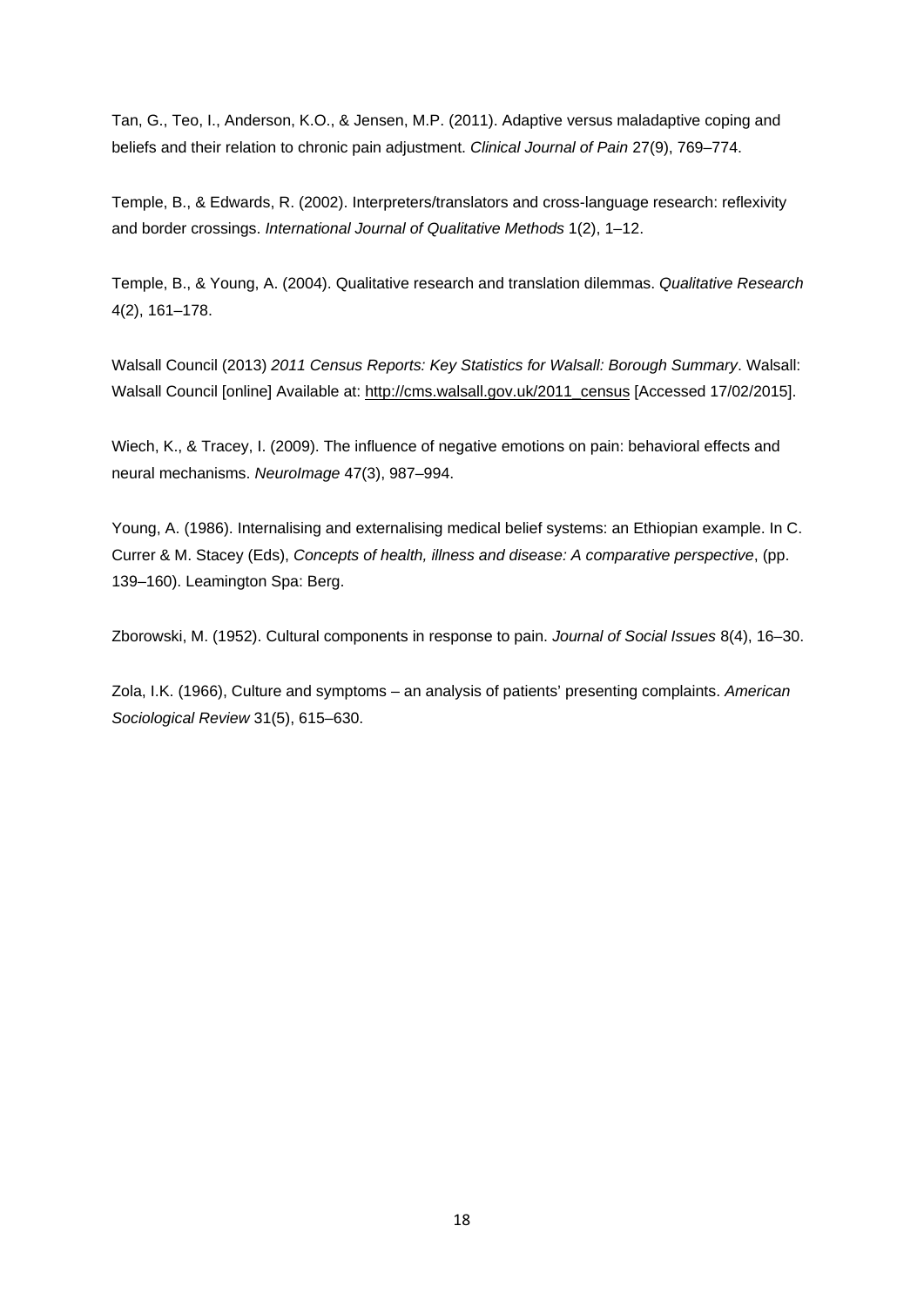Tan, G., Teo, I., Anderson, K.O., & Jensen, M.P. (2011). Adaptive versus maladaptive coping and beliefs and their relation to chronic pain adjustment. *Clinical Journal of Pain* 27(9), 769–774.

Temple, B., & Edwards, R. (2002). Interpreters/translators and cross-language research: reflexivity and border crossings. *International Journal of Qualitative Methods* 1(2), 1–12.

Temple, B., & Young, A. (2004). Qualitative research and translation dilemmas. *Qualitative Research* 4(2), 161–178.

Walsall Council (2013) *2011 Census Reports: Key Statistics for Walsall: Borough Summary*. Walsall: Walsall Council [online] Available at: http://cms.walsall.gov.uk/2011\_census [Accessed 17/02/2015].

Wiech, K., & Tracey, I. (2009). The influence of negative emotions on pain: behavioral effects and neural mechanisms. *NeuroImage* 47(3), 987–994.

Young, A. (1986). Internalising and externalising medical belief systems: an Ethiopian example. In C. Currer & M. Stacey (Eds), *Concepts of health, illness and disease: A comparative perspective*, (pp. 139–160). Leamington Spa: Berg.

Zborowski, M. (1952). Cultural components in response to pain. *Journal of Social Issues* 8(4), 16–30.

Zola, I.K. (1966), Culture and symptoms – an analysis of patients' presenting complaints. *American Sociological Review* 31(5), 615–630.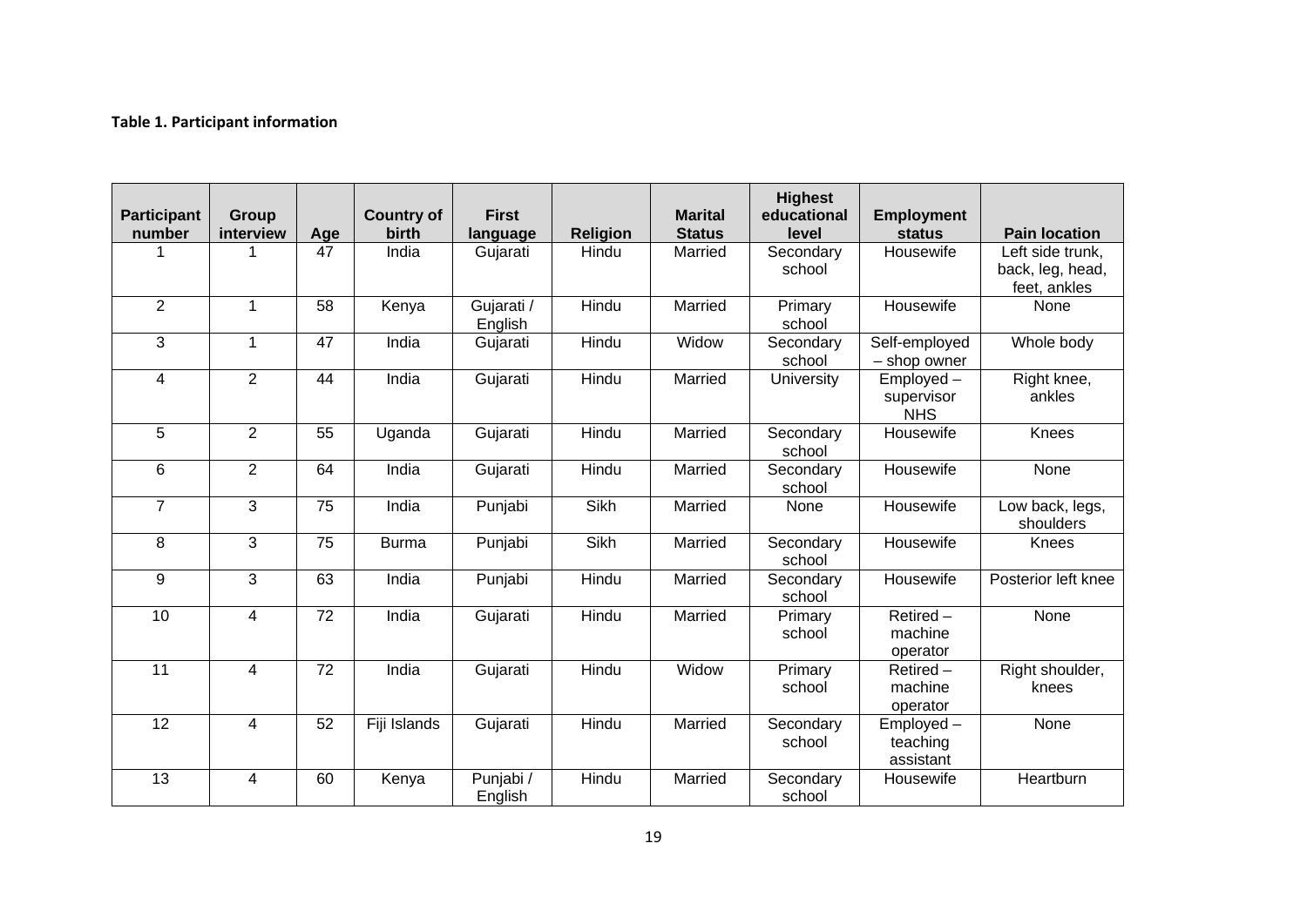#### **Table 1. Participant information**

| <b>Participant</b><br>number | <b>Group</b><br>interview | Age             | <b>Country of</b><br>birth | <b>First</b><br>language | <b>Religion</b> | <b>Marital</b><br><b>Status</b> | <b>Highest</b><br>educational<br>level | <b>Employment</b><br>status           | <b>Pain location</b>                                 |
|------------------------------|---------------------------|-----------------|----------------------------|--------------------------|-----------------|---------------------------------|----------------------------------------|---------------------------------------|------------------------------------------------------|
|                              |                           | 47              | India                      | Gujarati                 | Hindu           | Married                         | Secondary<br>school                    | Housewife                             | Left side trunk,<br>back, leg, head,<br>feet, ankles |
| $\overline{2}$               | $\mathbf{1}$              | 58              | Kenya                      | Gujarati /<br>English    | Hindu           | Married                         | Primary<br>school                      | Housewife                             | None                                                 |
| $\overline{3}$               | $\mathbf{1}$              | 47              | India                      | Gujarati                 | Hindu           | Widow                           | Secondary<br>school                    | Self-employed<br>- shop owner         | Whole body                                           |
| $\overline{4}$               | $\overline{2}$            | 44              | India                      | Gujarati                 | Hindu           | Married                         | University                             | Employed-<br>supervisor<br><b>NHS</b> | Right knee,<br>ankles                                |
| 5                            | $\overline{2}$            | $\overline{55}$ | Uganda                     | Gujarati                 | Hindu           | Married                         | Secondary<br>school                    | Housewife                             | <b>Knees</b>                                         |
| 6                            | $\overline{2}$            | 64              | India                      | Gujarati                 | Hindu           | Married                         | Secondary<br>school                    | Housewife                             | None                                                 |
| $\overline{7}$               | 3                         | 75              | India                      | Punjabi                  | Sikh            | Married                         | None                                   | Housewife                             | Low back, legs,<br>shoulders                         |
| 8                            | 3                         | 75              | <b>Burma</b>               | Punjabi                  | Sikh            | Married                         | Secondary<br>school                    | Housewife                             | <b>Knees</b>                                         |
| 9                            | 3                         | 63              | India                      | Punjabi                  | Hindu           | Married                         | Secondary<br>school                    | Housewife                             | Posterior left knee                                  |
| 10                           | $\overline{4}$            | $\overline{72}$ | India                      | Gujarati                 | Hindu           | Married                         | Primary<br>school                      | $Retired -$<br>machine<br>operator    | <b>None</b>                                          |
| $\overline{11}$              | $\overline{4}$            | 72              | India                      | Gujarati                 | Hindu           | Widow                           | Primary<br>school                      | $Retired -$<br>machine<br>operator    | Right shoulder,<br>knees                             |
| $\overline{12}$              | $\overline{4}$            | 52              | Fiji Islands               | Gujarati                 | Hindu           | Married                         | Secondary<br>school                    | Employed-<br>teaching<br>assistant    | None                                                 |
| 13                           | 4                         | 60              | Kenya                      | Punjabi /<br>English     | Hindu           | Married                         | Secondary<br>school                    | Housewife                             | Heartburn                                            |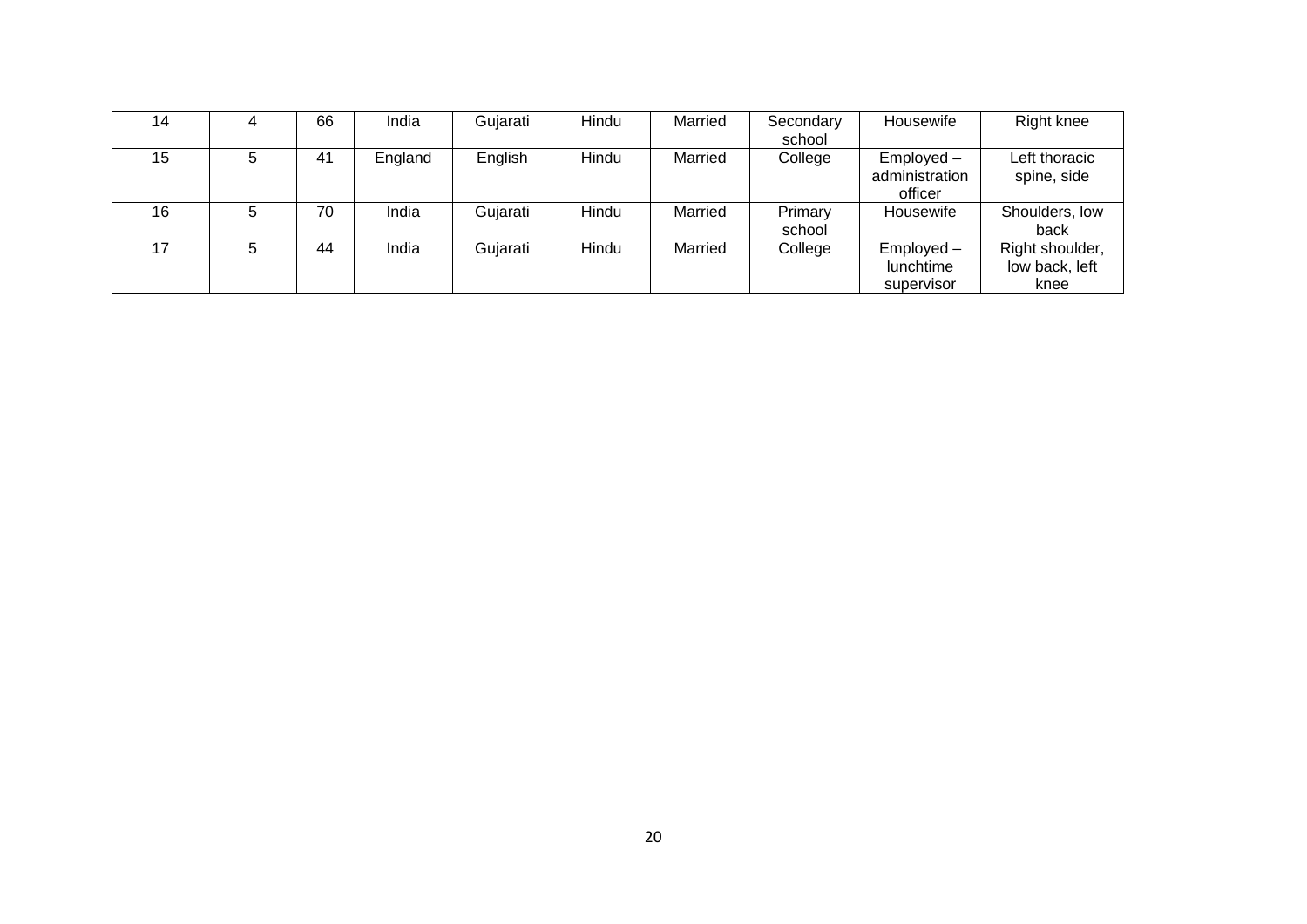| 14 | 4 | 66 | India   | Gujarati | Hindu | Married | Secondary | Housewife      | Right knee      |
|----|---|----|---------|----------|-------|---------|-----------|----------------|-----------------|
|    |   |    |         |          |       |         | school    |                |                 |
| 15 | 5 | 41 | England | English  | Hindu | Married | College   | $Employd -$    | Left thoracic   |
|    |   |    |         |          |       |         |           | administration | spine, side     |
|    |   |    |         |          |       |         |           | officer        |                 |
| 16 | 5 | 70 | India   | Gujarati | Hindu | Married | Primary   | Housewife      | Shoulders, low  |
|    |   |    |         |          |       |         | school    |                | back            |
| 17 | 5 | 44 | India   | Gujarati | Hindu | Married | College   | $Employd -$    | Right shoulder, |
|    |   |    |         |          |       |         |           | lunchtime      | low back, left  |
|    |   |    |         |          |       |         |           | supervisor     | knee            |